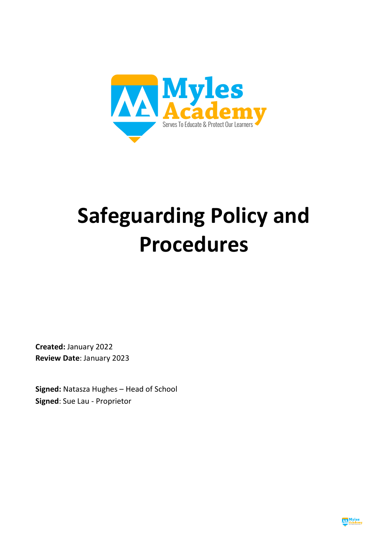

# **Safeguarding Policy and Procedures**

**Created:** January 2022 **Review Date**: January 2023

**Signed:** Natasza Hughes – Head of School **Signed**: Sue Lau - Proprietor

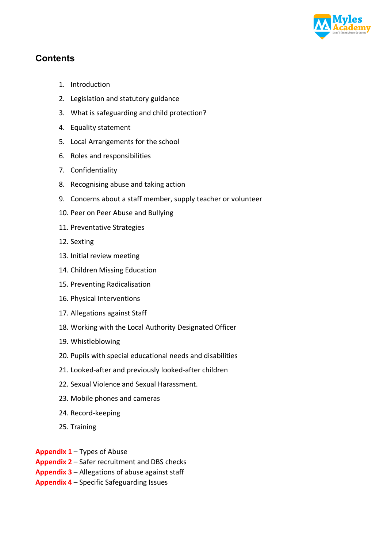

# **Contents**

- 1. Introduction
- 2. Legislation and statutory guidance
- 3. What is safeguarding and child protection?
- 4. Equality statement
- 5. Local Arrangements for the school
- 6. Roles and responsibilities
- 7. Confidentiality
- 8. Recognising abuse and taking action
- 9. Concerns about a staff member, supply teacher or volunteer
- 10. Peer on Peer Abuse and Bullying
- 11. Preventative Strategies
- 12. Sexting
- 13. Initial review meeting
- 14. Children Missing Education
- 15. Preventing Radicalisation
- 16. Physical Interventions
- 17. Allegations against Staff
- 18. Working with the Local Authority Designated Officer
- 19. Whistleblowing
- 20. Pupils with special educational needs and disabilities
- 21. Looked-after and previously looked-after children
- 22. Sexual Violence and Sexual Harassment.
- 23. Mobile phones and cameras
- 24. Record-keeping
- 25. Training

**Appendix 1** – Types of Abuse

- **Appendix 2** Safer recruitment and DBS checks
- **Appendix 3** Allegations of abuse against staff
- **Appendix 4** Specific Safeguarding Issues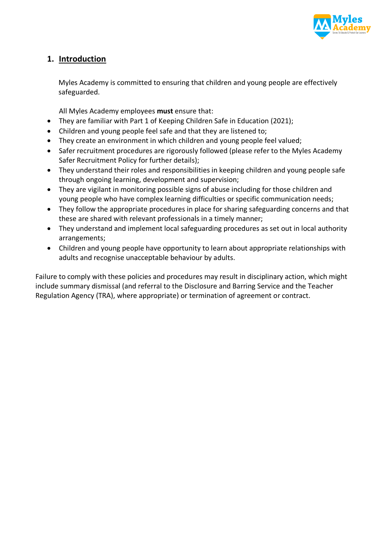

## **1. Introduction**

Myles Academy is committed to ensuring that children and young people are effectively safeguarded.

All Myles Academy employees **must** ensure that:

- They are familiar with Part 1 of Keeping Children Safe in Education (2021);
- Children and young people feel safe and that they are listened to;
- They create an environment in which children and young people feel valued;
- Safer recruitment procedures are rigorously followed (please refer to the Myles Academy Safer Recruitment Policy for further details);
- They understand their roles and responsibilities in keeping children and young people safe through ongoing learning, development and supervision;
- They are vigilant in monitoring possible signs of abuse including for those children and young people who have complex learning difficulties or specific communication needs;
- They follow the appropriate procedures in place for sharing safeguarding concerns and that these are shared with relevant professionals in a timely manner;
- They understand and implement local safeguarding procedures as set out in local authority arrangements;
- Children and young people have opportunity to learn about appropriate relationships with adults and recognise unacceptable behaviour by adults.

Failure to comply with these policies and procedures may result in disciplinary action, which might include summary dismissal (and referral to the Disclosure and Barring Service and the Teacher Regulation Agency (TRA), where appropriate) or termination of agreement or contract.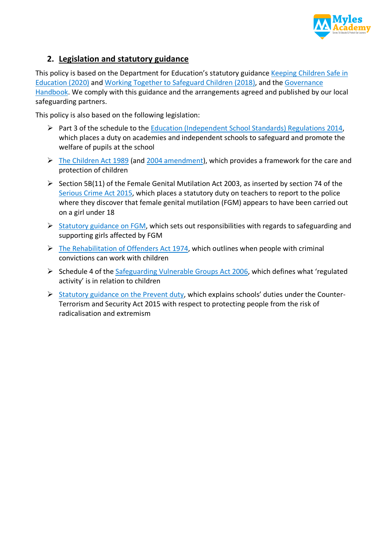

# **2. Legislation and statutory guidance**

This policy is based on the Department for Education's statutory guidance Keeping Children Safe in Education (2020) and Working Together to Safeguard Children (2018), and the Governance Handbook. We comply with this guidance and the arrangements agreed and published by our local safeguarding partners.

This policy is also based on the following legislation:

- Ø Part 3 of the schedule to the Education (Independent School Standards) Regulations 2014, which places a duty on academies and independent schools to safeguard and promote the welfare of pupils at the school
- $\triangleright$  The Children Act 1989 (and 2004 amendment), which provides a framework for the care and protection of children
- $\triangleright$  Section 5B(11) of the Female Genital Mutilation Act 2003, as inserted by section 74 of the Serious Crime Act 2015, which places a statutory duty on teachers to report to the police where they discover that female genital mutilation (FGM) appears to have been carried out on a girl under 18
- $\triangleright$  Statutory guidance on FGM, which sets out responsibilities with regards to safeguarding and supporting girls affected by FGM
- $\triangleright$  The Rehabilitation of Offenders Act 1974, which outlines when people with criminal convictions can work with children
- $\triangleright$  Schedule 4 of the Safeguarding Vulnerable Groups Act 2006, which defines what 'regulated activity' is in relation to children
- $\triangleright$  Statutory guidance on the Prevent duty, which explains schools' duties under the Counter-Terrorism and Security Act 2015 with respect to protecting people from the risk of radicalisation and extremism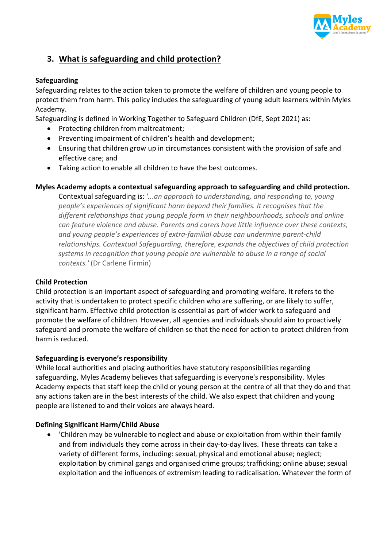

# **3. What is safeguarding and child protection?**

#### **Safeguarding**

Safeguarding relates to the action taken to promote the welfare of children and young people to protect them from harm. This policy includes the safeguarding of young adult learners within Myles Academy.

Safeguarding is defined in Working Together to Safeguard Children (DfE, Sept 2021) as:

- Protecting children from maltreatment;
- Preventing impairment of children's health and development;
- Ensuring that children grow up in circumstances consistent with the provision of safe and effective care; and
- Taking action to enable all children to have the best outcomes.

#### **Myles Academy adopts a contextual safeguarding approach to safeguarding and child protection.**

Contextual safeguarding is: *'...an approach to understanding, and responding to, young people's experiences of significant harm beyond their families. It recognises that the different relationships that young people form in their neighbourhoods, schools and online can feature violence and abuse. Parents and carers have little influence over these contexts, and young people's experiences of extra-familial abuse can undermine parent-child relationships. Contextual Safeguarding, therefore, expands the objectives of child protection systems in recognition that young people are vulnerable to abuse in a range of social contexts.'* (Dr Carlene Firmin)

#### **Child Protection**

Child protection is an important aspect of safeguarding and promoting welfare. It refers to the activity that is undertaken to protect specific children who are suffering, or are likely to suffer, significant harm. Effective child protection is essential as part of wider work to safeguard and promote the welfare of children. However, all agencies and individuals should aim to proactively safeguard and promote the welfare of children so that the need for action to protect children from harm is reduced.

#### **Safeguarding is everyone's responsibility**

While local authorities and placing authorities have statutory responsibilities regarding safeguarding, Myles Academy believes that safeguarding is everyone's responsibility. Myles Academy expects that staff keep the child or young person at the centre of all that they do and that any actions taken are in the best interests of the child. We also expect that children and young people are listened to and their voices are always heard.

#### **Defining Significant Harm/Child Abuse**

• 'Children may be vulnerable to neglect and abuse or exploitation from within their family and from individuals they come across in their day-to-day lives. These threats can take a variety of different forms, including: sexual, physical and emotional abuse; neglect; exploitation by criminal gangs and organised crime groups; trafficking; online abuse; sexual exploitation and the influences of extremism leading to radicalisation. Whatever the form of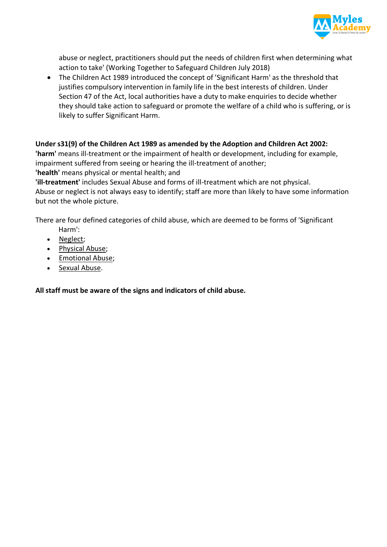

abuse or neglect, practitioners should put the needs of children first when determining what action to take' (Working Together to Safeguard Children July 2018)

• The Children Act 1989 introduced the concept of 'Significant Harm' as the threshold that justifies compulsory intervention in family life in the best interests of children. Under Section 47 of the Act, local authorities have a duty to make enquiries to decide whether they should take action to safeguard or promote the welfare of a child who is suffering, or is likely to suffer Significant Harm.

## **Under s31(9) of the Children Act 1989 as amended by the Adoption and Children Act 2002:**

**'harm'** means ill-treatment or the impairment of health or development, including for example, impairment suffered from seeing or hearing the ill-treatment of another;

**'health'** means physical or mental health; and

**'ill-treatment'** includes Sexual Abuse and forms of ill-treatment which are not physical.

Abuse or neglect is not always easy to identify; staff are more than likely to have some information but not the whole picture.

There are four defined categories of child abuse, which are deemed to be forms of 'Significant

- Harm': • Neglect;
- Physical Abuse;
- Emotional Abuse;
- Sexual Abuse.

**All staff must be aware of the signs and indicators of child abuse.**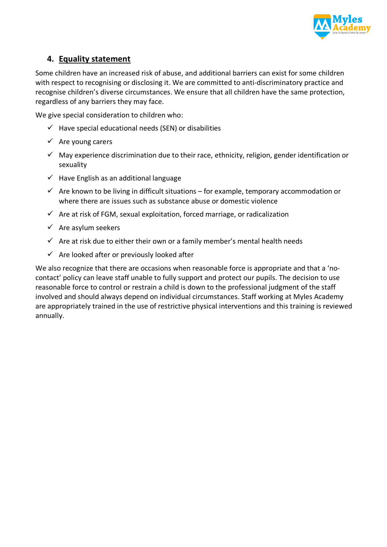

## **4. Equality statement**

Some children have an increased risk of abuse, and additional barriers can exist for some children with respect to recognising or disclosing it. We are committed to anti-discriminatory practice and recognise children's diverse circumstances. We ensure that all children have the same protection, regardless of any barriers they may face.

We give special consideration to children who:

- $\checkmark$  Have special educational needs (SEN) or disabilities
- $\checkmark$  Are young carers
- $\checkmark$  May experience discrimination due to their race, ethnicity, religion, gender identification or sexuality
- $\checkmark$  Have English as an additional language
- $\checkmark$  Are known to be living in difficult situations for example, temporary accommodation or where there are issues such as substance abuse or domestic violence
- $\checkmark$  Are at risk of FGM, sexual exploitation, forced marriage, or radicalization
- $\checkmark$  Are asylum seekers
- $\checkmark$  Are at risk due to either their own or a family member's mental health needs
- $\checkmark$  Are looked after or previously looked after

We also recognize that there are occasions when reasonable force is appropriate and that a 'nocontact' policy can leave staff unable to fully support and protect our pupils. The decision to use reasonable force to control or restrain a child is down to the professional judgment of the staff involved and should always depend on individual circumstances. Staff working at Myles Academy are appropriately trained in the use of restrictive physical interventions and this training is reviewed annually.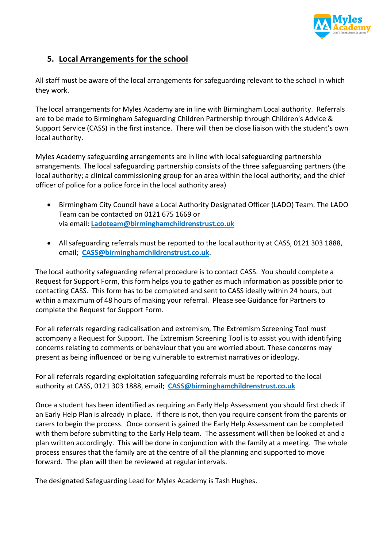

## **5. Local Arrangements for the school**

All staff must be aware of the local arrangements for safeguarding relevant to the school in which they work.

The local arrangements for Myles Academy are in line with Birmingham Local authority. Referrals are to be made to Birmingham Safeguarding Children Partnership through Children's Advice & Support Service (CASS) in the first instance. There will then be close liaison with the student's own local authority.

Myles Academy safeguarding arrangements are in line with local safeguarding partnership arrangements. The local safeguarding partnership consists of the three safeguarding partners (the local authority; a clinical commissioning group for an area within the local authority; and the chief officer of police for a police force in the local authority area)

- Birmingham City Council have a Local Authority Designated Officer (LADO) Team. The LADO Team can be contacted on 0121 675 1669 or via email: **Ladoteam@birminghamchildrenstrust.co.uk**
- All safeguarding referrals must be reported to the local authority at CASS, 0121 303 1888, email; **CASS@birminghamchildrenstrust.co.uk**.

The local authority safeguarding referral procedure is to contact CASS. You should complete a Request for Support Form, this form helps you to gather as much information as possible prior to contacting CASS. This form has to be completed and sent to CASS ideally within 24 hours, but within a maximum of 48 hours of making your referral. Please see Guidance for Partners to complete the Request for Support Form.

For all referrals regarding radicalisation and extremism, The Extremism Screening Tool must accompany a Request for Support. The Extremism Screening Tool is to assist you with identifying concerns relating to comments or behaviour that you are worried about. These concerns may present as being influenced or being vulnerable to extremist narratives or ideology.

For all referrals regarding exploitation safeguarding referrals must be reported to the local authority at CASS, 0121 303 1888, email; **CASS@birminghamchildrenstrust.co.uk**

Once a student has been identified as requiring an Early Help Assessment you should first check if an Early Help Plan is already in place. If there is not, then you require consent from the parents or carers to begin the process. Once consent is gained the Early Help Assessment can be completed with them before submitting to the Early Help team. The assessment will then be looked at and a plan written accordingly. This will be done in conjunction with the family at a meeting. The whole process ensures that the family are at the centre of all the planning and supported to move forward. The plan will then be reviewed at regular intervals.

The designated Safeguarding Lead for Myles Academy is Tash Hughes.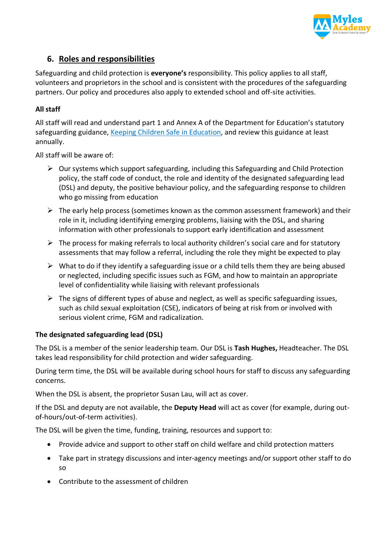

## **6. Roles and responsibilities**

Safeguarding and child protection is **everyone's** responsibility. This policy applies to all staff, volunteers and proprietors in the school and is consistent with the procedures of the safeguarding partners. Our policy and procedures also apply to extended school and off-site activities.

## **All staff**

All staff will read and understand part 1 and Annex A of the Department for Education's statutory safeguarding guidance, Keeping Children Safe in Education, and review this guidance at least annually.

All staff will be aware of:

- $\triangleright$  Our systems which support safeguarding, including this Safeguarding and Child Protection policy, the staff code of conduct, the role and identity of the designated safeguarding lead (DSL) and deputy, the positive behaviour policy, and the safeguarding response to children who go missing from education
- $\triangleright$  The early help process (sometimes known as the common assessment framework) and their role in it, including identifying emerging problems, liaising with the DSL, and sharing information with other professionals to support early identification and assessment
- $\triangleright$  The process for making referrals to local authority children's social care and for statutory assessments that may follow a referral, including the role they might be expected to play
- $\triangleright$  What to do if they identify a safeguarding issue or a child tells them they are being abused or neglected, including specific issues such as FGM, and how to maintain an appropriate level of confidentiality while liaising with relevant professionals
- $\triangleright$  The signs of different types of abuse and neglect, as well as specific safeguarding issues, such as child sexual exploitation (CSE), indicators of being at risk from or involved with serious violent crime, FGM and radicalization.

#### **The designated safeguarding lead (DSL)**

The DSL is a member of the senior leadership team. Our DSL is **Tash Hughes,** Headteacher. The DSL takes lead responsibility for child protection and wider safeguarding.

During term time, the DSL will be available during school hours for staff to discuss any safeguarding concerns.

When the DSL is absent, the proprietor Susan Lau, will act as cover.

If the DSL and deputy are not available, the **Deputy Head** will act as cover (for example, during outof-hours/out-of-term activities).

The DSL will be given the time, funding, training, resources and support to:

- Provide advice and support to other staff on child welfare and child protection matters
- Take part in strategy discussions and inter-agency meetings and/or support other staff to do so
- Contribute to the assessment of children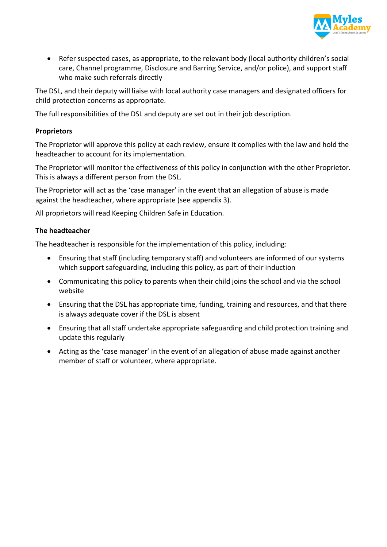

• Refer suspected cases, as appropriate, to the relevant body (local authority children's social care, Channel programme, Disclosure and Barring Service, and/or police), and support staff who make such referrals directly

The DSL, and their deputy will liaise with local authority case managers and designated officers for child protection concerns as appropriate.

The full responsibilities of the DSL and deputy are set out in their job description.

#### **Proprietors**

The Proprietor will approve this policy at each review, ensure it complies with the law and hold the headteacher to account for its implementation.

The Proprietor will monitor the effectiveness of this policy in conjunction with the other Proprietor. This is always a different person from the DSL.

The Proprietor will act as the 'case manager' in the event that an allegation of abuse is made against the headteacher, where appropriate (see appendix 3).

All proprietors will read Keeping Children Safe in Education.

#### **The headteacher**

The headteacher is responsible for the implementation of this policy, including:

- Ensuring that staff (including temporary staff) and volunteers are informed of our systems which support safeguarding, including this policy, as part of their induction
- Communicating this policy to parents when their child joins the school and via the school website
- Ensuring that the DSL has appropriate time, funding, training and resources, and that there is always adequate cover if the DSL is absent
- Ensuring that all staff undertake appropriate safeguarding and child protection training and update this regularly
- Acting as the 'case manager' in the event of an allegation of abuse made against another member of staff or volunteer, where appropriate.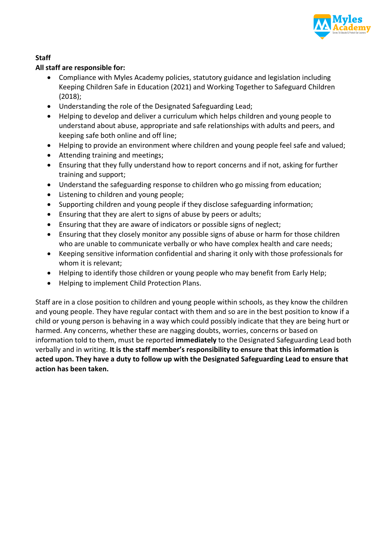

## **Staff**

## **All staff are responsible for:**

- Compliance with Myles Academy policies, statutory guidance and legislation including Keeping Children Safe in Education (2021) and Working Together to Safeguard Children (2018);
- Understanding the role of the Designated Safeguarding Lead;
- Helping to develop and deliver a curriculum which helps children and young people to understand about abuse, appropriate and safe relationships with adults and peers, and keeping safe both online and off line;
- Helping to provide an environment where children and young people feel safe and valued;
- Attending training and meetings;
- Ensuring that they fully understand how to report concerns and if not, asking for further training and support;
- Understand the safeguarding response to children who go missing from education;
- Listening to children and young people;
- Supporting children and young people if they disclose safeguarding information;
- Ensuring that they are alert to signs of abuse by peers or adults;
- Ensuring that they are aware of indicators or possible signs of neglect;
- Ensuring that they closely monitor any possible signs of abuse or harm for those children who are unable to communicate verbally or who have complex health and care needs;
- Keeping sensitive information confidential and sharing it only with those professionals for whom it is relevant;
- Helping to identify those children or young people who may benefit from Early Help;
- Helping to implement Child Protection Plans.

Staff are in a close position to children and young people within schools, as they know the children and young people. They have regular contact with them and so are in the best position to know if a child or young person is behaving in a way which could possibly indicate that they are being hurt or harmed. Any concerns, whether these are nagging doubts, worries, concerns or based on information told to them, must be reported **immediately** to the Designated Safeguarding Lead both verbally and in writing. **It is the staff member's responsibility to ensure that this information is acted upon. They have a duty to follow up with the Designated Safeguarding Lead to ensure that action has been taken.**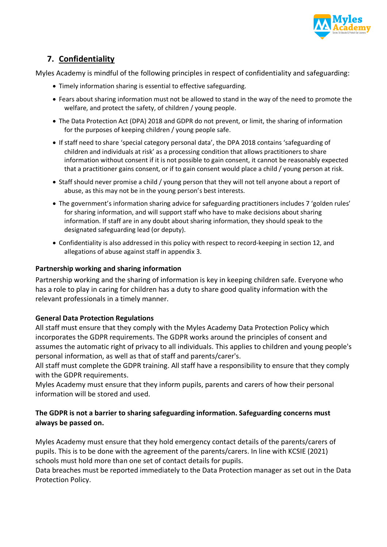

# **7. Confidentiality**

Myles Academy is mindful of the following principles in respect of confidentiality and safeguarding:

- Timely information sharing is essential to effective safeguarding.
- Fears about sharing information must not be allowed to stand in the way of the need to promote the welfare, and protect the safety, of children / young people.
- The Data Protection Act (DPA) 2018 and GDPR do not prevent, or limit, the sharing of information for the purposes of keeping children / young people safe.
- If staff need to share 'special category personal data', the DPA 2018 contains 'safeguarding of children and individuals at risk' as a processing condition that allows practitioners to share information without consent if it is not possible to gain consent, it cannot be reasonably expected that a practitioner gains consent, or if to gain consent would place a child / young person at risk.
- Staff should never promise a child / young person that they will not tell anyone about a report of abuse, as this may not be in the young person's best interests.
- The government's information sharing advice for safeguarding practitioners includes 7 'golden rules' for sharing information, and will support staff who have to make decisions about sharing information. If staff are in any doubt about sharing information, they should speak to the designated safeguarding lead (or deputy).
- Confidentiality is also addressed in this policy with respect to record-keeping in section 12, and allegations of abuse against staff in appendix 3.

#### **Partnership working and sharing information**

Partnership working and the sharing of information is key in keeping children safe. Everyone who has a role to play in caring for children has a duty to share good quality information with the relevant professionals in a timely manner.

#### **General Data Protection Regulations**

All staff must ensure that they comply with the Myles Academy Data Protection Policy which incorporates the GDPR requirements. The GDPR works around the principles of consent and assumes the automatic right of privacy to all individuals. This applies to children and young people's personal information, as well as that of staff and parents/carer's.

All staff must complete the GDPR training. All staff have a responsibility to ensure that they comply with the GDPR requirements.

Myles Academy must ensure that they inform pupils, parents and carers of how their personal information will be stored and used.

## **The GDPR is not a barrier to sharing safeguarding information. Safeguarding concerns must always be passed on.**

Myles Academy must ensure that they hold emergency contact details of the parents/carers of pupils. This is to be done with the agreement of the parents/carers. In line with KCSIE (2021) schools must hold more than one set of contact details for pupils.

Data breaches must be reported immediately to the Data Protection manager as set out in the Data Protection Policy.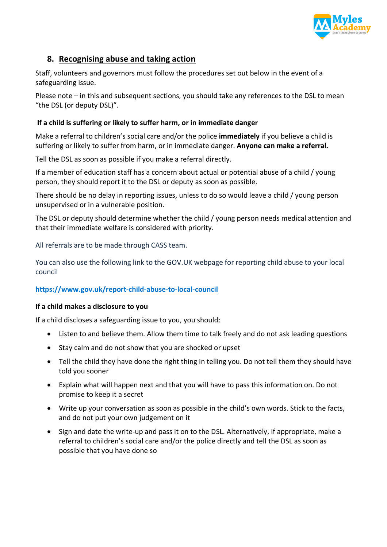

## **8. Recognising abuse and taking action**

Staff, volunteers and governors must follow the procedures set out below in the event of a safeguarding issue.

Please note – in this and subsequent sections, you should take any references to the DSL to mean "the DSL (or deputy DSL)".

#### **If a child is suffering or likely to suffer harm, or in immediate danger**

Make a referral to children's social care and/or the police **immediately** if you believe a child is suffering or likely to suffer from harm, or in immediate danger. **Anyone can make a referral.**

Tell the DSL as soon as possible if you make a referral directly.

If a member of education staff has a concern about actual or potential abuse of a child / young person, they should report it to the DSL or deputy as soon as possible.

There should be no delay in reporting issues, unless to do so would leave a child / young person unsupervised or in a vulnerable position.

The DSL or deputy should determine whether the child / young person needs medical attention and that their immediate welfare is considered with priority.

All referrals are to be made through CASS team.

You can also use the following link to the GOV.UK webpage for reporting child abuse to your local council

#### **https://www.gov.uk/report-child-abuse-to-local-council**

#### **If a child makes a disclosure to you**

If a child discloses a safeguarding issue to you, you should:

- Listen to and believe them. Allow them time to talk freely and do not ask leading questions
- Stay calm and do not show that you are shocked or upset
- Tell the child they have done the right thing in telling you. Do not tell them they should have told you sooner
- Explain what will happen next and that you will have to pass this information on. Do not promise to keep it a secret
- Write up your conversation as soon as possible in the child's own words. Stick to the facts, and do not put your own judgement on it
- Sign and date the write-up and pass it on to the DSL. Alternatively, if appropriate, make a referral to children's social care and/or the police directly and tell the DSL as soon as possible that you have done so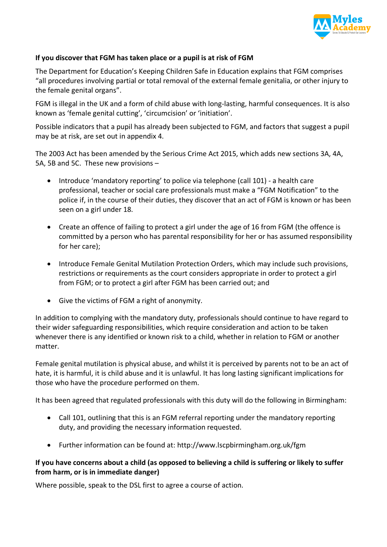

#### **If you discover that FGM has taken place or a pupil is at risk of FGM**

The Department for Education's Keeping Children Safe in Education explains that FGM comprises "all procedures involving partial or total removal of the external female genitalia, or other injury to the female genital organs".

FGM is illegal in the UK and a form of child abuse with long-lasting, harmful consequences. It is also known as 'female genital cutting', 'circumcision' or 'initiation'.

Possible indicators that a pupil has already been subjected to FGM, and factors that suggest a pupil may be at risk, are set out in appendix 4.

The 2003 Act has been amended by the Serious Crime Act 2015, which adds new sections 3A, 4A, 5A, 5B and 5C. These new provisions –

- Introduce 'mandatory reporting' to police via telephone (call 101) a health care professional, teacher or social care professionals must make a "FGM Notification" to the police if, in the course of their duties, they discover that an act of FGM is known or has been seen on a girl under 18.
- Create an offence of failing to protect a girl under the age of 16 from FGM (the offence is committed by a person who has parental responsibility for her or has assumed responsibility for her care);
- Introduce Female Genital Mutilation Protection Orders, which may include such provisions, restrictions or requirements as the court considers appropriate in order to protect a girl from FGM; or to protect a girl after FGM has been carried out; and
- Give the victims of FGM a right of anonymity.

In addition to complying with the mandatory duty, professionals should continue to have regard to their wider safeguarding responsibilities, which require consideration and action to be taken whenever there is any identified or known risk to a child, whether in relation to FGM or another matter.

Female genital mutilation is physical abuse, and whilst it is perceived by parents not to be an act of hate, it is harmful, it is child abuse and it is unlawful. It has long lasting significant implications for those who have the procedure performed on them.

It has been agreed that regulated professionals with this duty will do the following in Birmingham:

- Call 101, outlining that this is an FGM referral reporting under the mandatory reporting duty, and providing the necessary information requested.
- Further information can be found at: http://www.lscpbirmingham.org.uk/fgm

#### **If you have concerns about a child (as opposed to believing a child is suffering or likely to suffer from harm, or is in immediate danger)**

Where possible, speak to the DSL first to agree a course of action.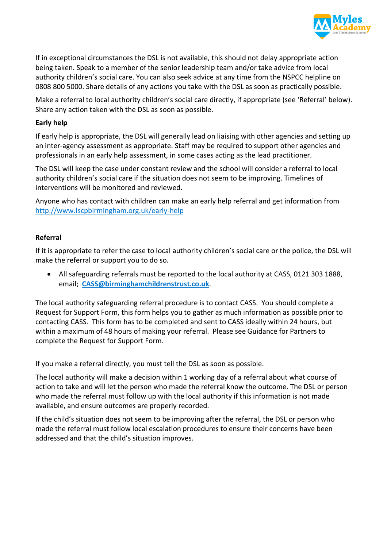

If in exceptional circumstances the DSL is not available, this should not delay appropriate action being taken. Speak to a member of the senior leadership team and/or take advice from local authority children's social care. You can also seek advice at any time from the NSPCC helpline on 0808 800 5000. Share details of any actions you take with the DSL as soon as practically possible.

Make a referral to local authority children's social care directly, if appropriate (see 'Referral' below). Share any action taken with the DSL as soon as possible.

#### **Early help**

If early help is appropriate, the DSL will generally lead on liaising with other agencies and setting up an inter-agency assessment as appropriate. Staff may be required to support other agencies and professionals in an early help assessment, in some cases acting as the lead practitioner.

The DSL will keep the case under constant review and the school will consider a referral to local authority children's social care if the situation does not seem to be improving. Timelines of interventions will be monitored and reviewed.

Anyone who has contact with children can make an early help referral and get information from http://www.lscpbirmingham.org.uk/early-help

#### **Referral**

If it is appropriate to refer the case to local authority children's social care or the police, the DSL will make the referral or support you to do so.

• All safeguarding referrals must be reported to the local authority at CASS, 0121 303 1888, email; **CASS@birminghamchildrenstrust.co.uk**.

The local authority safeguarding referral procedure is to contact CASS. You should complete a Request for Support Form, this form helps you to gather as much information as possible prior to contacting CASS. This form has to be completed and sent to CASS ideally within 24 hours, but within a maximum of 48 hours of making your referral. Please see Guidance for Partners to complete the Request for Support Form.

If you make a referral directly, you must tell the DSL as soon as possible.

The local authority will make a decision within 1 working day of a referral about what course of action to take and will let the person who made the referral know the outcome. The DSL or person who made the referral must follow up with the local authority if this information is not made available, and ensure outcomes are properly recorded.

If the child's situation does not seem to be improving after the referral, the DSL or person who made the referral must follow local escalation procedures to ensure their concerns have been addressed and that the child's situation improves.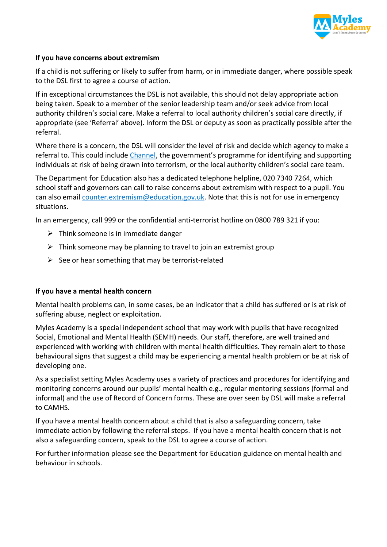

#### **If you have concerns about extremism**

If a child is not suffering or likely to suffer from harm, or in immediate danger, where possible speak to the DSL first to agree a course of action.

If in exceptional circumstances the DSL is not available, this should not delay appropriate action being taken. Speak to a member of the senior leadership team and/or seek advice from local authority children's social care. Make a referral to local authority children's social care directly, if appropriate (see 'Referral' above). Inform the DSL or deputy as soon as practically possible after the referral.

Where there is a concern, the DSL will consider the level of risk and decide which agency to make a referral to. This could include Channel, the government's programme for identifying and supporting individuals at risk of being drawn into terrorism, or the local authority children's social care team.

The Department for Education also has a dedicated telephone helpline, 020 7340 7264, which school staff and governors can call to raise concerns about extremism with respect to a pupil. You can also email counter.extremism@education.gov.uk. Note that this is not for use in emergency situations.

In an emergency, call 999 or the confidential anti-terrorist hotline on 0800 789 321 if you:

- $\triangleright$  Think someone is in immediate danger
- $\triangleright$  Think someone may be planning to travel to join an extremist group
- $\triangleright$  See or hear something that may be terrorist-related

#### **If you have a mental health concern**

Mental health problems can, in some cases, be an indicator that a child has suffered or is at risk of suffering abuse, neglect or exploitation.

Myles Academy is a special independent school that may work with pupils that have recognized Social, Emotional and Mental Health (SEMH) needs. Our staff, therefore, are well trained and experienced with working with children with mental health difficulties. They remain alert to those behavioural signs that suggest a child may be experiencing a mental health problem or be at risk of developing one.

As a specialist setting Myles Academy uses a variety of practices and procedures for identifying and monitoring concerns around our pupils' mental health e.g., regular mentoring sessions (formal and informal) and the use of Record of Concern forms. These are over seen by DSL will make a referral to CAMHS.

If you have a mental health concern about a child that is also a safeguarding concern, take immediate action by following the referral steps. If you have a mental health concern that is not also a safeguarding concern, speak to the DSL to agree a course of action.

For further information please see the Department for Education guidance on mental health and behaviour in schools.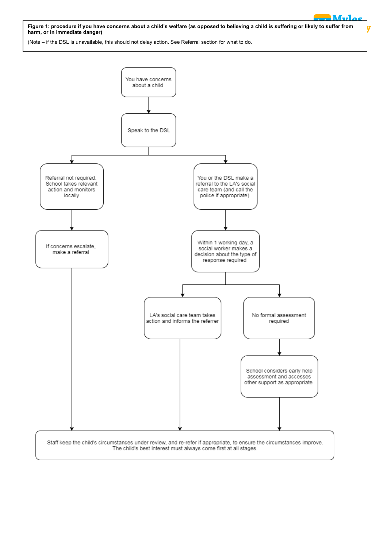**Academy Figure 1: procedure if you have concerns about a child's welfare (as opposed to believing a child is suffering or likely to suffer from harm, or in immediate danger)**

**Myles**

(Note – if the DSL is unavailable, this should not delay action. See Referral section for what to do.

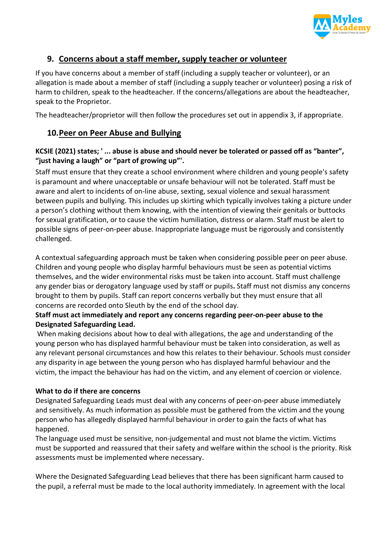

## **9. Concerns about a staff member, supply teacher or volunteer**

If you have concerns about a member of staff (including a supply teacher or volunteer), or an allegation is made about a member of staff (including a supply teacher or volunteer) posing a risk of harm to children, speak to the headteacher. If the concerns/allegations are about the headteacher, speak to the Proprietor.

The headteacher/proprietor will then follow the procedures set out in appendix 3, if appropriate.

## **10.Peer on Peer Abuse and Bullying**

## **KCSIE (2021) states; ' ... abuse is abuse and should never be tolerated or passed off as "banter", "just having a laugh" or "part of growing up"'.**

Staff must ensure that they create a school environment where children and young people's safety is paramount and where unacceptable or unsafe behaviour will not be tolerated. Staff must be aware and alert to incidents of on-line abuse, sexting, sexual violence and sexual harassment between pupils and bullying. This includes up skirting which typically involves taking a picture under a person's clothing without them knowing, with the intention of viewing their genitals or buttocks for sexual gratification, or to cause the victim humiliation, distress or alarm. Staff must be alert to possible signs of peer-on-peer abuse. Inappropriate language must be rigorously and consistently challenged.

A contextual safeguarding approach must be taken when considering possible peer on peer abuse. Children and young people who display harmful behaviours must be seen as potential victims themselves, and the wider environmental risks must be taken into account. Staff must challenge any gender bias or derogatory language used by staff or pupils**.** Staff must not dismiss any concerns brought to them by pupils. Staff can report concerns verbally but they must ensure that all concerns are recorded onto Sleuth by the end of the school day.

## **Staff must act immediately and report any concerns regarding peer-on-peer abuse to the Designated Safeguarding Lead.**

When making decisions about how to deal with allegations, the age and understanding of the young person who has displayed harmful behaviour must be taken into consideration, as well as any relevant personal circumstances and how this relates to their behaviour. Schools must consider any disparity in age between the young person who has displayed harmful behaviour and the victim, the impact the behaviour has had on the victim, and any element of coercion or violence.

#### **What to do if there are concerns**

Designated Safeguarding Leads must deal with any concerns of peer-on-peer abuse immediately and sensitively. As much information as possible must be gathered from the victim and the young person who has allegedly displayed harmful behaviour in order to gain the facts of what has happened.

The language used must be sensitive, non-judgemental and must not blame the victim. Victims must be supported and reassured that their safety and welfare within the school is the priority. Risk assessments must be implemented where necessary.

Where the Designated Safeguarding Lead believes that there has been significant harm caused to the pupil, a referral must be made to the local authority immediately. In agreement with the local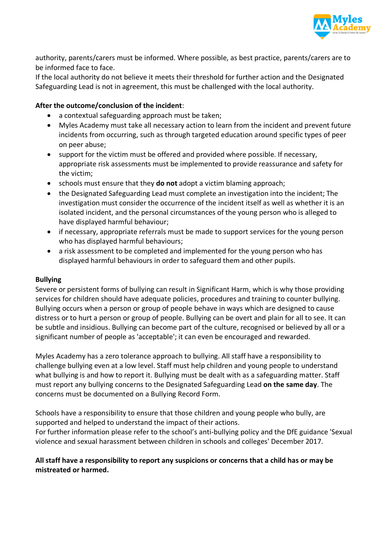

authority, parents/carers must be informed. Where possible, as best practice, parents/carers are to be informed face to face.

If the local authority do not believe it meets their threshold for further action and the Designated Safeguarding Lead is not in agreement, this must be challenged with the local authority.

#### **After the outcome/conclusion of the incident**:

- a contextual safeguarding approach must be taken;
- Myles Academy must take all necessary action to learn from the incident and prevent future incidents from occurring, such as through targeted education around specific types of peer on peer abuse;
- support for the victim must be offered and provided where possible. If necessary, appropriate risk assessments must be implemented to provide reassurance and safety for the victim;
- schools must ensure that they **do not** adopt a victim blaming approach;
- the Designated Safeguarding Lead must complete an investigation into the incident; The investigation must consider the occurrence of the incident itself as well as whether it is an isolated incident, and the personal circumstances of the young person who is alleged to have displayed harmful behaviour;
- if necessary, appropriate referrals must be made to support services for the young person who has displayed harmful behaviours;
- a risk assessment to be completed and implemented for the young person who has displayed harmful behaviours in order to safeguard them and other pupils.

#### **Bullying**

Severe or persistent forms of bullying can result in Significant Harm, which is why those providing services for children should have adequate policies, procedures and training to counter bullying. Bullying occurs when a person or group of people behave in ways which are designed to cause distress or to hurt a person or group of people. Bullying can be overt and plain for all to see. It can be subtle and insidious. Bullying can become part of the culture, recognised or believed by all or a significant number of people as 'acceptable'; it can even be encouraged and rewarded.

Myles Academy has a zero tolerance approach to bullying. All staff have a responsibility to challenge bullying even at a low level. Staff must help children and young people to understand what bullying is and how to report it. Bullying must be dealt with as a safeguarding matter. Staff must report any bullying concerns to the Designated Safeguarding Lead **on the same day**. The concerns must be documented on a Bullying Record Form.

Schools have a responsibility to ensure that those children and young people who bully, are supported and helped to understand the impact of their actions.

For further information please refer to the school's anti-bullying policy and the DfE guidance 'Sexual violence and sexual harassment between children in schools and colleges' December 2017.

#### **All staff have a responsibility to report any suspicions or concerns that a child has or may be mistreated or harmed.**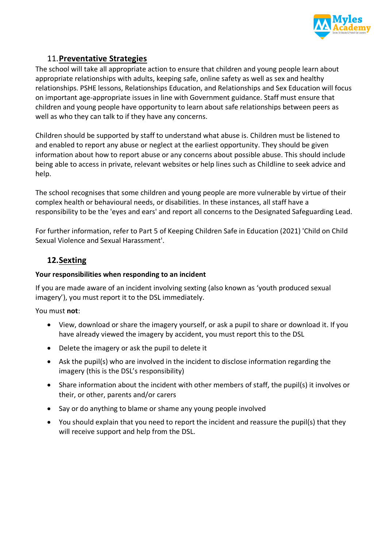

## 11.**Preventative Strategies**

The school will take all appropriate action to ensure that children and young people learn about appropriate relationships with adults, keeping safe, online safety as well as sex and healthy relationships. PSHE lessons, Relationships Education, and Relationships and Sex Education will focus on important age-appropriate issues in line with Government guidance. Staff must ensure that children and young people have opportunity to learn about safe relationships between peers as well as who they can talk to if they have any concerns.

Children should be supported by staff to understand what abuse is. Children must be listened to and enabled to report any abuse or neglect at the earliest opportunity. They should be given information about how to report abuse or any concerns about possible abuse. This should include being able to access in private, relevant websites or help lines such as Childline to seek advice and help.

The school recognises that some children and young people are more vulnerable by virtue of their complex health or behavioural needs, or disabilities. In these instances, all staff have a responsibility to be the 'eyes and ears' and report all concerns to the Designated Safeguarding Lead.

For further information, refer to Part 5 of Keeping Children Safe in Education (2021) 'Child on Child Sexual Violence and Sexual Harassment'.

# **12.Sexting**

#### **Your responsibilities when responding to an incident**

If you are made aware of an incident involving sexting (also known as 'youth produced sexual imagery'), you must report it to the DSL immediately.

#### You must **not**:

- View, download or share the imagery yourself, or ask a pupil to share or download it. If you have already viewed the imagery by accident, you must report this to the DSL
- Delete the imagery or ask the pupil to delete it
- Ask the pupil(s) who are involved in the incident to disclose information regarding the imagery (this is the DSL's responsibility)
- Share information about the incident with other members of staff, the pupil(s) it involves or their, or other, parents and/or carers
- Say or do anything to blame or shame any young people involved
- You should explain that you need to report the incident and reassure the pupil(s) that they will receive support and help from the DSL.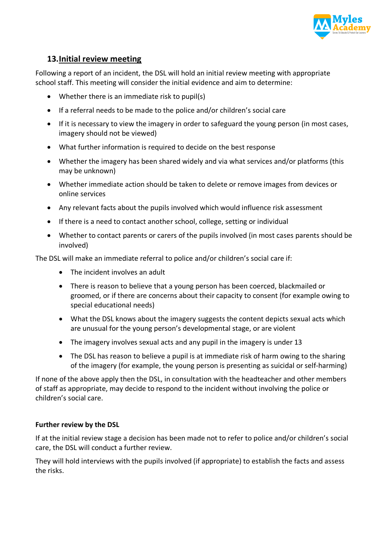

## **13.Initial review meeting**

Following a report of an incident, the DSL will hold an initial review meeting with appropriate school staff. This meeting will consider the initial evidence and aim to determine:

- Whether there is an immediate risk to pupil(s)
- If a referral needs to be made to the police and/or children's social care
- If it is necessary to view the imagery in order to safeguard the young person (in most cases, imagery should not be viewed)
- What further information is required to decide on the best response
- Whether the imagery has been shared widely and via what services and/or platforms (this may be unknown)
- Whether immediate action should be taken to delete or remove images from devices or online services
- Any relevant facts about the pupils involved which would influence risk assessment
- If there is a need to contact another school, college, setting or individual
- Whether to contact parents or carers of the pupils involved (in most cases parents should be involved)

The DSL will make an immediate referral to police and/or children's social care if:

- The incident involves an adult
- There is reason to believe that a young person has been coerced, blackmailed or groomed, or if there are concerns about their capacity to consent (for example owing to special educational needs)
- What the DSL knows about the imagery suggests the content depicts sexual acts which are unusual for the young person's developmental stage, or are violent
- The imagery involves sexual acts and any pupil in the imagery is under 13
- The DSL has reason to believe a pupil is at immediate risk of harm owing to the sharing of the imagery (for example, the young person is presenting as suicidal or self-harming)

If none of the above apply then the DSL, in consultation with the headteacher and other members of staff as appropriate, may decide to respond to the incident without involving the police or children's social care.

#### **Further review by the DSL**

If at the initial review stage a decision has been made not to refer to police and/or children's social care, the DSL will conduct a further review.

They will hold interviews with the pupils involved (if appropriate) to establish the facts and assess the risks.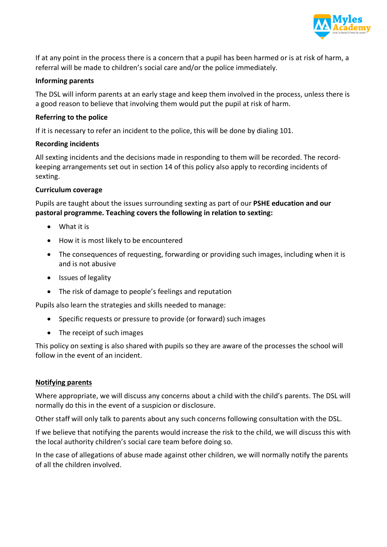

If at any point in the process there is a concern that a pupil has been harmed or is at risk of harm, a referral will be made to children's social care and/or the police immediately.

#### **Informing parents**

The DSL will inform parents at an early stage and keep them involved in the process, unless there is a good reason to believe that involving them would put the pupil at risk of harm.

#### **Referring to the police**

If it is necessary to refer an incident to the police, this will be done by dialing 101.

#### **Recording incidents**

All sexting incidents and the decisions made in responding to them will be recorded. The recordkeeping arrangements set out in section 14 of this policy also apply to recording incidents of sexting.

#### **Curriculum coverage**

Pupils are taught about the issues surrounding sexting as part of our **PSHE education and our pastoral programme. Teaching covers the following in relation to sexting:**

- What it is
- How it is most likely to be encountered
- The consequences of requesting, forwarding or providing such images, including when it is and is not abusive
- Issues of legality
- The risk of damage to people's feelings and reputation

Pupils also learn the strategies and skills needed to manage:

- Specific requests or pressure to provide (or forward) such images
- The receipt of such images

This policy on sexting is also shared with pupils so they are aware of the processes the school will follow in the event of an incident.

#### **Notifying parents**

Where appropriate, we will discuss any concerns about a child with the child's parents. The DSL will normally do this in the event of a suspicion or disclosure.

Other staff will only talk to parents about any such concerns following consultation with the DSL.

If we believe that notifying the parents would increase the risk to the child, we will discuss this with the local authority children's social care team before doing so.

In the case of allegations of abuse made against other children, we will normally notify the parents of all the children involved.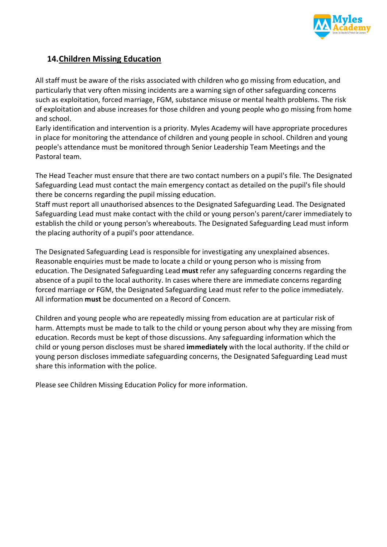

## **14.Children Missing Education**

All staff must be aware of the risks associated with children who go missing from education, and particularly that very often missing incidents are a warning sign of other safeguarding concerns such as exploitation, forced marriage, FGM, substance misuse or mental health problems. The risk of exploitation and abuse increases for those children and young people who go missing from home and school.

Early identification and intervention is a priority. Myles Academy will have appropriate procedures in place for monitoring the attendance of children and young people in school. Children and young people's attendance must be monitored through Senior Leadership Team Meetings and the Pastoral team.

The Head Teacher must ensure that there are two contact numbers on a pupil's file. The Designated Safeguarding Lead must contact the main emergency contact as detailed on the pupil's file should there be concerns regarding the pupil missing education.

Staff must report all unauthorised absences to the Designated Safeguarding Lead. The Designated Safeguarding Lead must make contact with the child or young person's parent/carer immediately to establish the child or young person's whereabouts. The Designated Safeguarding Lead must inform the placing authority of a pupil's poor attendance.

The Designated Safeguarding Lead is responsible for investigating any unexplained absences. Reasonable enquiries must be made to locate a child or young person who is missing from education. The Designated Safeguarding Lead **must** refer any safeguarding concerns regarding the absence of a pupil to the local authority. In cases where there are immediate concerns regarding forced marriage or FGM, the Designated Safeguarding Lead must refer to the police immediately. All information **must** be documented on a Record of Concern.

Children and young people who are repeatedly missing from education are at particular risk of harm. Attempts must be made to talk to the child or young person about why they are missing from education. Records must be kept of those discussions. Any safeguarding information which the child or young person discloses must be shared **immediately** with the local authority. If the child or young person discloses immediate safeguarding concerns, the Designated Safeguarding Lead must share this information with the police.

Please see Children Missing Education Policy for more information.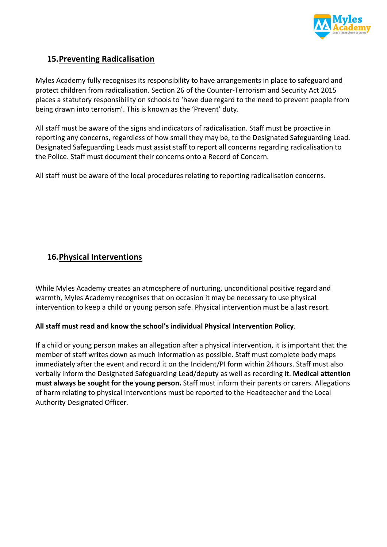

## **15.Preventing Radicalisation**

Myles Academy fully recognises its responsibility to have arrangements in place to safeguard and protect children from radicalisation. Section 26 of the Counter-Terrorism and Security Act 2015 places a statutory responsibility on schools to 'have due regard to the need to prevent people from being drawn into terrorism'. This is known as the 'Prevent' duty.

All staff must be aware of the signs and indicators of radicalisation. Staff must be proactive in reporting any concerns, regardless of how small they may be, to the Designated Safeguarding Lead. Designated Safeguarding Leads must assist staff to report all concerns regarding radicalisation to the Police. Staff must document their concerns onto a Record of Concern.

All staff must be aware of the local procedures relating to reporting radicalisation concerns.

## **16.Physical Interventions**

While Myles Academy creates an atmosphere of nurturing, unconditional positive regard and warmth, Myles Academy recognises that on occasion it may be necessary to use physical intervention to keep a child or young person safe. Physical intervention must be a last resort.

#### **All staff must read and know the school's individual Physical Intervention Policy**.

If a child or young person makes an allegation after a physical intervention, it is important that the member of staff writes down as much information as possible. Staff must complete body maps immediately after the event and record it on the Incident/PI form within 24hours. Staff must also verbally inform the Designated Safeguarding Lead/deputy as well as recording it. **Medical attention must always be sought for the young person.** Staff must inform their parents or carers. Allegations of harm relating to physical interventions must be reported to the Headteacher and the Local Authority Designated Officer.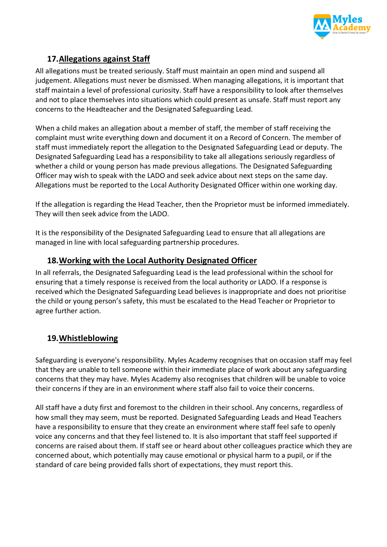

# **17.Allegations against Staff**

All allegations must be treated seriously. Staff must maintain an open mind and suspend all judgement. Allegations must never be dismissed. When managing allegations, it is important that staff maintain a level of professional curiosity. Staff have a responsibility to look after themselves and not to place themselves into situations which could present as unsafe. Staff must report any concerns to the Headteacher and the Designated Safeguarding Lead.

When a child makes an allegation about a member of staff, the member of staff receiving the complaint must write everything down and document it on a Record of Concern. The member of staff must immediately report the allegation to the Designated Safeguarding Lead or deputy. The Designated Safeguarding Lead has a responsibility to take all allegations seriously regardless of whether a child or young person has made previous allegations. The Designated Safeguarding Officer may wish to speak with the LADO and seek advice about next steps on the same day. Allegations must be reported to the Local Authority Designated Officer within one working day.

If the allegation is regarding the Head Teacher, then the Proprietor must be informed immediately. They will then seek advice from the LADO.

It is the responsibility of the Designated Safeguarding Lead to ensure that all allegations are managed in line with local safeguarding partnership procedures.

## **18.Working with the Local Authority Designated Officer**

In all referrals, the Designated Safeguarding Lead is the lead professional within the school for ensuring that a timely response is received from the local authority or LADO. If a response is received which the Designated Safeguarding Lead believes is inappropriate and does not prioritise the child or young person's safety, this must be escalated to the Head Teacher or Proprietor to agree further action.

# **19.Whistleblowing**

Safeguarding is everyone's responsibility. Myles Academy recognises that on occasion staff may feel that they are unable to tell someone within their immediate place of work about any safeguarding concerns that they may have. Myles Academy also recognises that children will be unable to voice their concerns if they are in an environment where staff also fail to voice their concerns.

All staff have a duty first and foremost to the children in their school. Any concerns, regardless of how small they may seem, must be reported. Designated Safeguarding Leads and Head Teachers have a responsibility to ensure that they create an environment where staff feel safe to openly voice any concerns and that they feel listened to. It is also important that staff feel supported if concerns are raised about them. If staff see or heard about other colleagues practice which they are concerned about, which potentially may cause emotional or physical harm to a pupil, or if the standard of care being provided falls short of expectations, they must report this.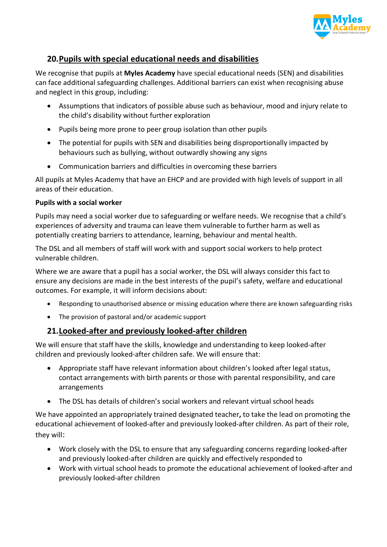

## **20.Pupils with special educational needs and disabilities**

We recognise that pupils at **Myles Academy** have special educational needs (SEN) and disabilities can face additional safeguarding challenges. Additional barriers can exist when recognising abuse and neglect in this group, including:

- Assumptions that indicators of possible abuse such as behaviour, mood and injury relate to the child's disability without further exploration
- Pupils being more prone to peer group isolation than other pupils
- The potential for pupils with SEN and disabilities being disproportionally impacted by behaviours such as bullying, without outwardly showing any signs
- Communication barriers and difficulties in overcoming these barriers

All pupils at Myles Academy that have an EHCP and are provided with high levels of support in all areas of their education.

#### **Pupils with a social worker**

Pupils may need a social worker due to safeguarding or welfare needs. We recognise that a child's experiences of adversity and trauma can leave them vulnerable to further harm as well as potentially creating barriers to attendance, learning, behaviour and mental health.

The DSL and all members of staff will work with and support social workers to help protect vulnerable children.

Where we are aware that a pupil has a social worker, the DSL will always consider this fact to ensure any decisions are made in the best interests of the pupil's safety, welfare and educational outcomes. For example, it will inform decisions about:

- Responding to unauthorised absence or missing education where there are known safeguarding risks
- The provision of pastoral and/or academic support

## **21.Looked-after and previously looked-after children**

We will ensure that staff have the skills, knowledge and understanding to keep looked-after children and previously looked-after children safe. We will ensure that:

- Appropriate staff have relevant information about children's looked after legal status, contact arrangements with birth parents or those with parental responsibility, and care arrangements
- The DSL has details of children's social workers and relevant virtual school heads

We have appointed an appropriately trained designated teacher**,** to take the lead on promoting the educational achievement of looked-after and previously looked-after children. As part of their role, they will:

- Work closely with the DSL to ensure that any safeguarding concerns regarding looked-after and previously looked-after children are quickly and effectively responded to
- Work with virtual school heads to promote the educational achievement of looked-after and previously looked-after children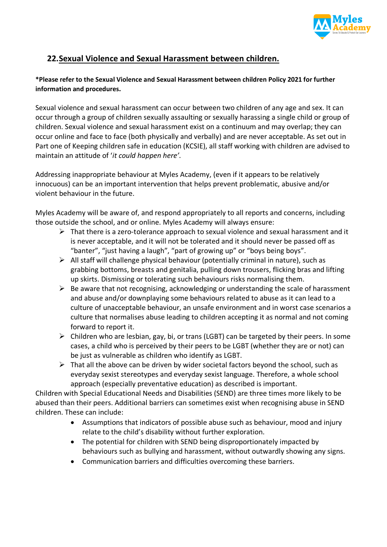

# **22.Sexual Violence and Sexual Harassment between children.**

#### **\*Please refer to the Sexual Violence and Sexual Harassment between children Policy 2021 for further information and procedures.**

Sexual violence and sexual harassment can occur between two children of any age and sex. It can occur through a group of children sexually assaulting or sexually harassing a single child or group of children. Sexual violence and sexual harassment exist on a continuum and may overlap; they can occur online and face to face (both physically and verbally) and are never acceptable. As set out in Part one of Keeping children safe in education (KCSIE), all staff working with children are advised to maintain an attitude of '*it could happen here'*.

Addressing inappropriate behaviour at Myles Academy, (even if it appears to be relatively innocuous) can be an important intervention that helps prevent problematic, abusive and/or violent behaviour in the future.

Myles Academy will be aware of, and respond appropriately to all reports and concerns, including those outside the school, and or online. Myles Academy will always ensure:

- $\triangleright$  That there is a zero-tolerance approach to sexual violence and sexual harassment and it is never acceptable, and it will not be tolerated and it should never be passed off as "banter", "just having a laugh", "part of growing up" or "boys being boys".
- $\triangleright$  All staff will challenge physical behaviour (potentially criminal in nature), such as grabbing bottoms, breasts and genitalia, pulling down trousers, flicking bras and lifting up skirts. Dismissing or tolerating such behaviours risks normalising them.
- $\triangleright$  Be aware that not recognising, acknowledging or understanding the scale of harassment and abuse and/or downplaying some behaviours related to abuse as it can lead to a culture of unacceptable behaviour, an unsafe environment and in worst case scenarios a culture that normalises abuse leading to children accepting it as normal and not coming forward to report it.
- $\triangleright$  Children who are lesbian, gay, bi, or trans (LGBT) can be targeted by their peers. In some cases, a child who is perceived by their peers to be LGBT (whether they are or not) can be just as vulnerable as children who identify as LGBT.
- $\triangleright$  That all the above can be driven by wider societal factors beyond the school, such as everyday sexist stereotypes and everyday sexist language. Therefore, a whole school approach (especially preventative education) as described is important.

Children with Special Educational Needs and Disabilities (SEND) are three times more likely to be abused than their peers. Additional barriers can sometimes exist when recognising abuse in SEND children. These can include:

- Assumptions that indicators of possible abuse such as behaviour, mood and injury relate to the child's disability without further exploration.
- The potential for children with SEND being disproportionately impacted by behaviours such as bullying and harassment, without outwardly showing any signs.
- Communication barriers and difficulties overcoming these barriers.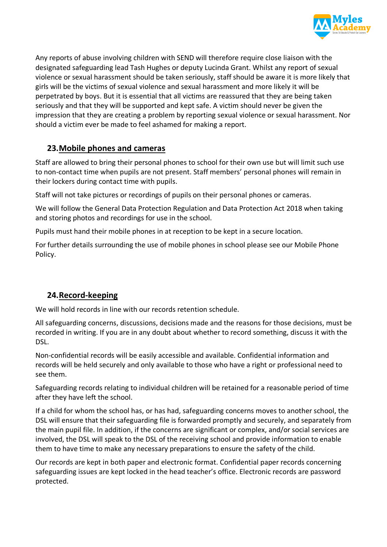

Any reports of abuse involving children with SEND will therefore require close liaison with the designated safeguarding lead Tash Hughes or deputy Lucinda Grant. Whilst any report of sexual violence or sexual harassment should be taken seriously, staff should be aware it is more likely that girls will be the victims of sexual violence and sexual harassment and more likely it will be perpetrated by boys. But it is essential that all victims are reassured that they are being taken seriously and that they will be supported and kept safe. A victim should never be given the impression that they are creating a problem by reporting sexual violence or sexual harassment. Nor should a victim ever be made to feel ashamed for making a report.

## **23.Mobile phones and cameras**

Staff are allowed to bring their personal phones to school for their own use but will limit such use to non-contact time when pupils are not present. Staff members' personal phones will remain in their lockers during contact time with pupils.

Staff will not take pictures or recordings of pupils on their personal phones or cameras.

We will follow the General Data Protection Regulation and Data Protection Act 2018 when taking and storing photos and recordings for use in the school.

Pupils must hand their mobile phones in at reception to be kept in a secure location.

For further details surrounding the use of mobile phones in school please see our Mobile Phone Policy.

## **24.Record-keeping**

We will hold records in line with our records retention schedule.

All safeguarding concerns, discussions, decisions made and the reasons for those decisions, must be recorded in writing. If you are in any doubt about whether to record something, discuss it with the DSL.

Non-confidential records will be easily accessible and available. Confidential information and records will be held securely and only available to those who have a right or professional need to see them.

Safeguarding records relating to individual children will be retained for a reasonable period of time after they have left the school.

If a child for whom the school has, or has had, safeguarding concerns moves to another school, the DSL will ensure that their safeguarding file is forwarded promptly and securely, and separately from the main pupil file. In addition, if the concerns are significant or complex, and/or social services are involved, the DSL will speak to the DSL of the receiving school and provide information to enable them to have time to make any necessary preparations to ensure the safety of the child.

Our records are kept in both paper and electronic format. Confidential paper records concerning safeguarding issues are kept locked in the head teacher's office. Electronic records are password protected.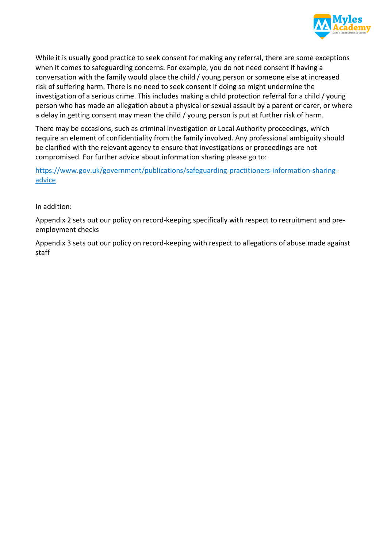

While it is usually good practice to seek consent for making any referral, there are some exceptions when it comes to safeguarding concerns. For example, you do not need consent if having a conversation with the family would place the child / young person or someone else at increased risk of suffering harm. There is no need to seek consent if doing so might undermine the investigation of a serious crime. This includes making a child protection referral for a child / young person who has made an allegation about a physical or sexual assault by a parent or carer, or where a delay in getting consent may mean the child / young person is put at further risk of harm.

There may be occasions, such as criminal investigation or Local Authority proceedings, which require an element of confidentiality from the family involved. Any professional ambiguity should be clarified with the relevant agency to ensure that investigations or proceedings are not compromised. For further advice about information sharing please go to:

https://www.gov.uk/government/publications/safeguarding-practitioners-information-sharingadvice

In addition:

Appendix 2 sets out our policy on record-keeping specifically with respect to recruitment and preemployment checks

Appendix 3 sets out our policy on record-keeping with respect to allegations of abuse made against staff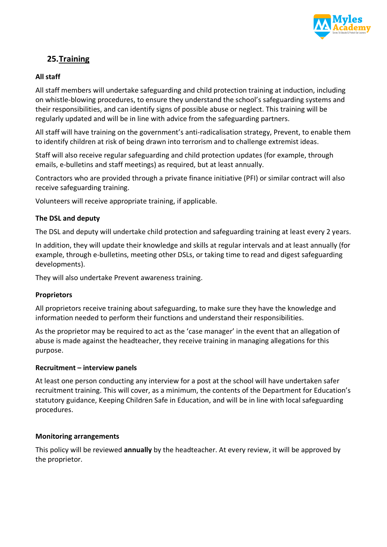

# **25.Training**

#### **All staff**

All staff members will undertake safeguarding and child protection training at induction, including on whistle-blowing procedures, to ensure they understand the school's safeguarding systems and their responsibilities, and can identify signs of possible abuse or neglect. This training will be regularly updated and will be in line with advice from the safeguarding partners.

All staff will have training on the government's anti-radicalisation strategy, Prevent, to enable them to identify children at risk of being drawn into terrorism and to challenge extremist ideas.

Staff will also receive regular safeguarding and child protection updates (for example, through emails, e-bulletins and staff meetings) as required, but at least annually.

Contractors who are provided through a private finance initiative (PFI) or similar contract will also receive safeguarding training.

Volunteers will receive appropriate training, if applicable.

#### **The DSL and deputy**

The DSL and deputy will undertake child protection and safeguarding training at least every 2 years.

In addition, they will update their knowledge and skills at regular intervals and at least annually (for example, through e-bulletins, meeting other DSLs, or taking time to read and digest safeguarding developments).

They will also undertake Prevent awareness training.

#### **Proprietors**

All proprietors receive training about safeguarding, to make sure they have the knowledge and information needed to perform their functions and understand their responsibilities.

As the proprietor may be required to act as the 'case manager' in the event that an allegation of abuse is made against the headteacher, they receive training in managing allegations for this purpose.

#### **Recruitment – interview panels**

At least one person conducting any interview for a post at the school will have undertaken safer recruitment training. This will cover, as a minimum, the contents of the Department for Education's statutory guidance, Keeping Children Safe in Education, and will be in line with local safeguarding procedures.

#### **Monitoring arrangements**

This policy will be reviewed **annually** by the headteacher. At every review, it will be approved by the proprietor.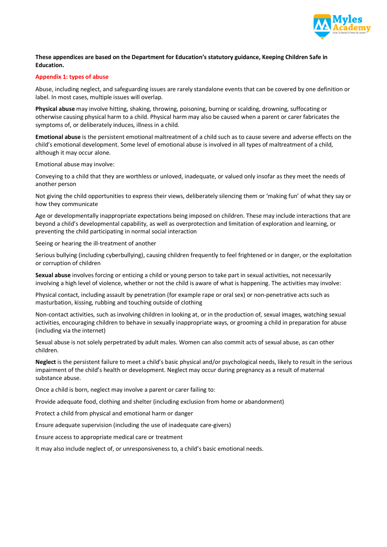

#### **These appendices are based on the Department for Education's statutory guidance, Keeping Children Safe in Education.**

#### **Appendix 1: types of abuse**

Abuse, including neglect, and safeguarding issues are rarely standalone events that can be covered by one definition or label. In most cases, multiple issues will overlap.

**Physical abuse** may involve hitting, shaking, throwing, poisoning, burning or scalding, drowning, suffocating or otherwise causing physical harm to a child. Physical harm may also be caused when a parent or carer fabricates the symptoms of, or deliberately induces, illness in a child.

**Emotional abuse** is the persistent emotional maltreatment of a child such as to cause severe and adverse effects on the child's emotional development. Some level of emotional abuse is involved in all types of maltreatment of a child, although it may occur alone.

Emotional abuse may involve:

Conveying to a child that they are worthless or unloved, inadequate, or valued only insofar as they meet the needs of another person

Not giving the child opportunities to express their views, deliberately silencing them or 'making fun' of what they say or how they communicate

Age or developmentally inappropriate expectations being imposed on children. These may include interactions that are beyond a child's developmental capability, as well as overprotection and limitation of exploration and learning, or preventing the child participating in normal social interaction

Seeing or hearing the ill-treatment of another

Serious bullying (including cyberbullying), causing children frequently to feel frightened or in danger, or the exploitation or corruption of children

**Sexual abuse** involves forcing or enticing a child or young person to take part in sexual activities, not necessarily involving a high level of violence, whether or not the child is aware of what is happening. The activities may involve:

Physical contact, including assault by penetration (for example rape or oral sex) or non-penetrative acts such as masturbation, kissing, rubbing and touching outside of clothing

Non-contact activities, such as involving children in looking at, or in the production of, sexual images, watching sexual activities, encouraging children to behave in sexually inappropriate ways, or grooming a child in preparation for abuse (including via the internet)

Sexual abuse is not solely perpetrated by adult males. Women can also commit acts of sexual abuse, as can other children.

**Neglect** is the persistent failure to meet a child's basic physical and/or psychological needs, likely to result in the serious impairment of the child's health or development. Neglect may occur during pregnancy as a result of maternal substance abuse.

Once a child is born, neglect may involve a parent or carer failing to:

Provide adequate food, clothing and shelter (including exclusion from home or abandonment)

Protect a child from physical and emotional harm or danger

Ensure adequate supervision (including the use of inadequate care-givers)

Ensure access to appropriate medical care or treatment

It may also include neglect of, or unresponsiveness to, a child's basic emotional needs.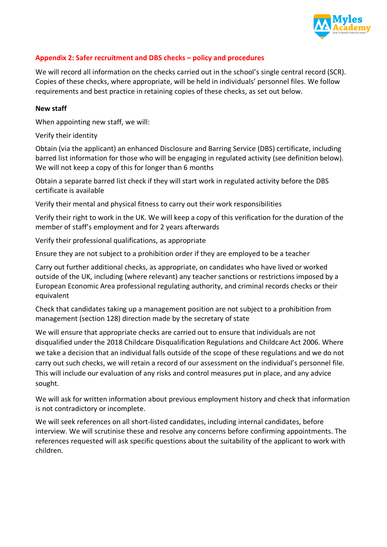

#### **Appendix 2: Safer recruitment and DBS checks – policy and procedures**

We will record all information on the checks carried out in the school's single central record (SCR). Copies of these checks, where appropriate, will be held in individuals' personnel files. We follow requirements and best practice in retaining copies of these checks, as set out below.

#### **New staff**

When appointing new staff, we will:

Verify their identity

Obtain (via the applicant) an enhanced Disclosure and Barring Service (DBS) certificate, including barred list information for those who will be engaging in regulated activity (see definition below). We will not keep a copy of this for longer than 6 months

Obtain a separate barred list check if they will start work in regulated activity before the DBS certificate is available

Verify their mental and physical fitness to carry out their work responsibilities

Verify their right to work in the UK. We will keep a copy of this verification for the duration of the member of staff's employment and for 2 years afterwards

Verify their professional qualifications, as appropriate

Ensure they are not subject to a prohibition order if they are employed to be a teacher

Carry out further additional checks, as appropriate, on candidates who have lived or worked outside of the UK, including (where relevant) any teacher sanctions or restrictions imposed by a European Economic Area professional regulating authority, and criminal records checks or their equivalent

Check that candidates taking up a management position are not subject to a prohibition from management (section 128) direction made by the secretary of state

We will ensure that appropriate checks are carried out to ensure that individuals are not disqualified under the 2018 Childcare Disqualification Regulations and Childcare Act 2006. Where we take a decision that an individual falls outside of the scope of these regulations and we do not carry out such checks, we will retain a record of our assessment on the individual's personnel file. This will include our evaluation of any risks and control measures put in place, and any advice sought.

We will ask for written information about previous employment history and check that information is not contradictory or incomplete.

We will seek references on all short-listed candidates, including internal candidates, before interview. We will scrutinise these and resolve any concerns before confirming appointments. The references requested will ask specific questions about the suitability of the applicant to work with children.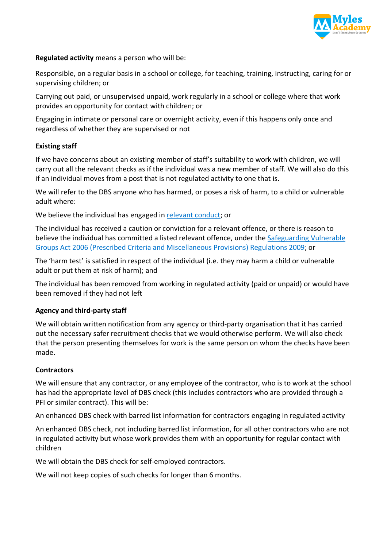

**Regulated activity** means a person who will be:

Responsible, on a regular basis in a school or college, for teaching, training, instructing, caring for or supervising children; or

Carrying out paid, or unsupervised unpaid, work regularly in a school or college where that work provides an opportunity for contact with children; or

Engaging in intimate or personal care or overnight activity, even if this happens only once and regardless of whether they are supervised or not

#### **Existing staff**

If we have concerns about an existing member of staff's suitability to work with children, we will carry out all the relevant checks as if the individual was a new member of staff. We will also do this if an individual moves from a post that is not regulated activity to one that is.

We will refer to the DBS anyone who has harmed, or poses a risk of harm, to a child or vulnerable adult where:

We believe the individual has engaged in relevant conduct; or

The individual has received a caution or conviction for a relevant offence, or there is reason to believe the individual has committed a listed relevant offence, under the Safeguarding Vulnerable Groups Act 2006 (Prescribed Criteria and Miscellaneous Provisions) Regulations 2009; or

The 'harm test' is satisfied in respect of the individual (i.e. they may harm a child or vulnerable adult or put them at risk of harm); and

The individual has been removed from working in regulated activity (paid or unpaid) or would have been removed if they had not left

#### **Agency and third-party staff**

We will obtain written notification from any agency or third-party organisation that it has carried out the necessary safer recruitment checks that we would otherwise perform. We will also check that the person presenting themselves for work is the same person on whom the checks have been made.

#### **Contractors**

We will ensure that any contractor, or any employee of the contractor, who is to work at the school has had the appropriate level of DBS check (this includes contractors who are provided through a PFI or similar contract). This will be:

An enhanced DBS check with barred list information for contractors engaging in regulated activity

An enhanced DBS check, not including barred list information, for all other contractors who are not in regulated activity but whose work provides them with an opportunity for regular contact with children

We will obtain the DBS check for self-employed contractors.

We will not keep copies of such checks for longer than 6 months.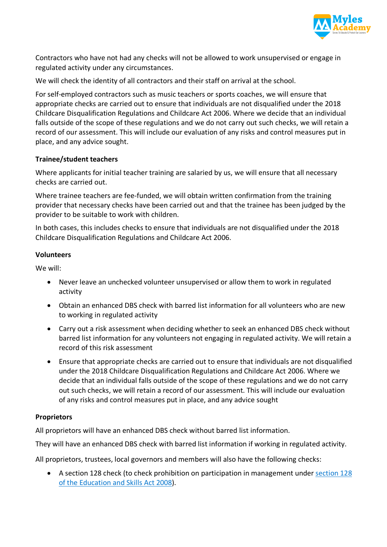

Contractors who have not had any checks will not be allowed to work unsupervised or engage in regulated activity under any circumstances.

We will check the identity of all contractors and their staff on arrival at the school.

For self-employed contractors such as music teachers or sports coaches, we will ensure that appropriate checks are carried out to ensure that individuals are not disqualified under the 2018 Childcare Disqualification Regulations and Childcare Act 2006. Where we decide that an individual falls outside of the scope of these regulations and we do not carry out such checks, we will retain a record of our assessment. This will include our evaluation of any risks and control measures put in place, and any advice sought.

#### **Trainee/student teachers**

Where applicants for initial teacher training are salaried by us, we will ensure that all necessary checks are carried out.

Where trainee teachers are fee-funded, we will obtain written confirmation from the training provider that necessary checks have been carried out and that the trainee has been judged by the provider to be suitable to work with children.

In both cases, this includes checks to ensure that individuals are not disqualified under the 2018 Childcare Disqualification Regulations and Childcare Act 2006.

#### **Volunteers**

We will:

- Never leave an unchecked volunteer unsupervised or allow them to work in regulated activity
- Obtain an enhanced DBS check with barred list information for all volunteers who are new to working in regulated activity
- Carry out a risk assessment when deciding whether to seek an enhanced DBS check without barred list information for any volunteers not engaging in regulated activity. We will retain a record of this risk assessment
- Ensure that appropriate checks are carried out to ensure that individuals are not disqualified under the 2018 Childcare Disqualification Regulations and Childcare Act 2006. Where we decide that an individual falls outside of the scope of these regulations and we do not carry out such checks, we will retain a record of our assessment. This will include our evaluation of any risks and control measures put in place, and any advice sought

#### **Proprietors**

All proprietors will have an enhanced DBS check without barred list information.

They will have an enhanced DBS check with barred list information if working in regulated activity.

All proprietors, trustees, local governors and members will also have the following checks:

• A section 128 check (to check prohibition on participation in management under section 128 of the Education and Skills Act 2008).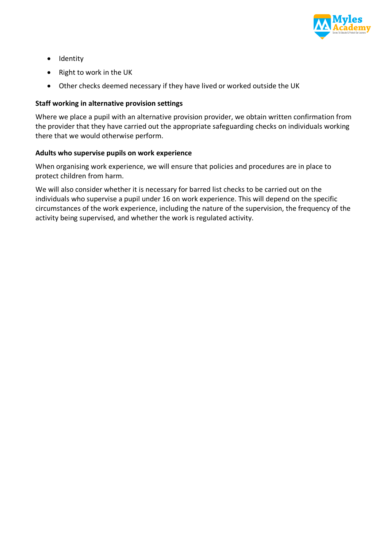

- Identity
- Right to work in the UK
- Other checks deemed necessary if they have lived or worked outside the UK

#### **Staff working in alternative provision settings**

Where we place a pupil with an alternative provision provider, we obtain written confirmation from the provider that they have carried out the appropriate safeguarding checks on individuals working there that we would otherwise perform.

#### **Adults who supervise pupils on work experience**

When organising work experience, we will ensure that policies and procedures are in place to protect children from harm.

We will also consider whether it is necessary for barred list checks to be carried out on the individuals who supervise a pupil under 16 on work experience. This will depend on the specific circumstances of the work experience, including the nature of the supervision, the frequency of the activity being supervised, and whether the work is regulated activity.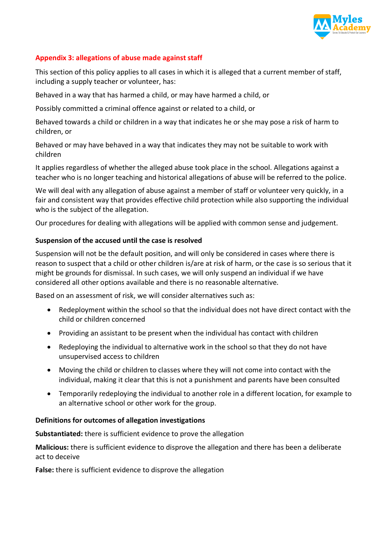

#### **Appendix 3: allegations of abuse made against staff**

This section of this policy applies to all cases in which it is alleged that a current member of staff, including a supply teacher or volunteer, has:

Behaved in a way that has harmed a child, or may have harmed a child, or

Possibly committed a criminal offence against or related to a child, or

Behaved towards a child or children in a way that indicates he or she may pose a risk of harm to children, or

Behaved or may have behaved in a way that indicates they may not be suitable to work with children

It applies regardless of whether the alleged abuse took place in the school. Allegations against a teacher who is no longer teaching and historical allegations of abuse will be referred to the police.

We will deal with any allegation of abuse against a member of staff or volunteer very quickly, in a fair and consistent way that provides effective child protection while also supporting the individual who is the subject of the allegation.

Our procedures for dealing with allegations will be applied with common sense and judgement.

#### **Suspension of the accused until the case is resolved**

Suspension will not be the default position, and will only be considered in cases where there is reason to suspect that a child or other children is/are at risk of harm, or the case is so serious that it might be grounds for dismissal. In such cases, we will only suspend an individual if we have considered all other options available and there is no reasonable alternative.

Based on an assessment of risk, we will consider alternatives such as:

- Redeployment within the school so that the individual does not have direct contact with the child or children concerned
- Providing an assistant to be present when the individual has contact with children
- Redeploying the individual to alternative work in the school so that they do not have unsupervised access to children
- Moving the child or children to classes where they will not come into contact with the individual, making it clear that this is not a punishment and parents have been consulted
- Temporarily redeploying the individual to another role in a different location, for example to an alternative school or other work for the group.

#### **Definitions for outcomes of allegation investigations**

**Substantiated:** there is sufficient evidence to prove the allegation

**Malicious:** there is sufficient evidence to disprove the allegation and there has been a deliberate act to deceive

**False:** there is sufficient evidence to disprove the allegation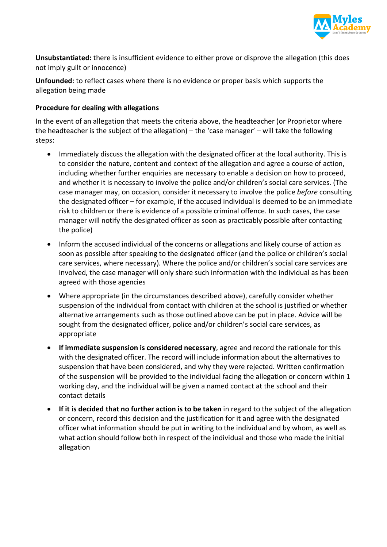

**Unsubstantiated:** there is insufficient evidence to either prove or disprove the allegation (this does not imply guilt or innocence)

**Unfounded**: to reflect cases where there is no evidence or proper basis which supports the allegation being made

#### **Procedure for dealing with allegations**

In the event of an allegation that meets the criteria above, the headteacher (or Proprietor where the headteacher is the subject of the allegation) – the 'case manager' – will take the following steps:

- Immediately discuss the allegation with the designated officer at the local authority. This is to consider the nature, content and context of the allegation and agree a course of action, including whether further enquiries are necessary to enable a decision on how to proceed, and whether it is necessary to involve the police and/or children's social care services. (The case manager may, on occasion, consider it necessary to involve the police *before* consulting the designated officer – for example, if the accused individual is deemed to be an immediate risk to children or there is evidence of a possible criminal offence. In such cases, the case manager will notify the designated officer as soon as practicably possible after contacting the police)
- Inform the accused individual of the concerns or allegations and likely course of action as soon as possible after speaking to the designated officer (and the police or children's social care services, where necessary). Where the police and/or children's social care services are involved, the case manager will only share such information with the individual as has been agreed with those agencies
- Where appropriate (in the circumstances described above), carefully consider whether suspension of the individual from contact with children at the school is justified or whether alternative arrangements such as those outlined above can be put in place. Advice will be sought from the designated officer, police and/or children's social care services, as appropriate
- **If immediate suspension is considered necessary**, agree and record the rationale for this with the designated officer. The record will include information about the alternatives to suspension that have been considered, and why they were rejected. Written confirmation of the suspension will be provided to the individual facing the allegation or concern within 1 working day, and the individual will be given a named contact at the school and their contact details
- **If it is decided that no further action is to be taken** in regard to the subject of the allegation or concern, record this decision and the justification for it and agree with the designated officer what information should be put in writing to the individual and by whom, as well as what action should follow both in respect of the individual and those who made the initial allegation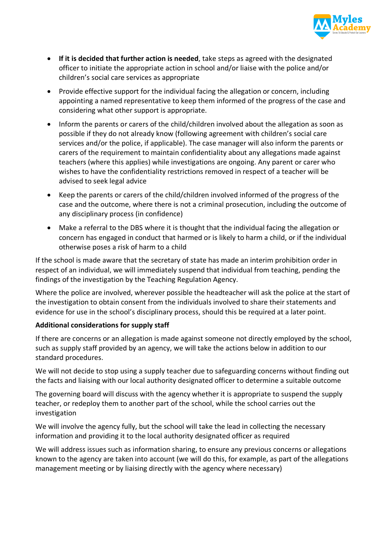

- **If it is decided that further action is needed**, take steps as agreed with the designated officer to initiate the appropriate action in school and/or liaise with the police and/or children's social care services as appropriate
- Provide effective support for the individual facing the allegation or concern, including appointing a named representative to keep them informed of the progress of the case and considering what other support is appropriate.
- Inform the parents or carers of the child/children involved about the allegation as soon as possible if they do not already know (following agreement with children's social care services and/or the police, if applicable). The case manager will also inform the parents or carers of the requirement to maintain confidentiality about any allegations made against teachers (where this applies) while investigations are ongoing. Any parent or carer who wishes to have the confidentiality restrictions removed in respect of a teacher will be advised to seek legal advice
- Keep the parents or carers of the child/children involved informed of the progress of the case and the outcome, where there is not a criminal prosecution, including the outcome of any disciplinary process (in confidence)
- Make a referral to the DBS where it is thought that the individual facing the allegation or concern has engaged in conduct that harmed or is likely to harm a child, or if the individual otherwise poses a risk of harm to a child

If the school is made aware that the secretary of state has made an interim prohibition order in respect of an individual, we will immediately suspend that individual from teaching, pending the findings of the investigation by the Teaching Regulation Agency.

Where the police are involved, wherever possible the headteacher will ask the police at the start of the investigation to obtain consent from the individuals involved to share their statements and evidence for use in the school's disciplinary process, should this be required at a later point.

#### **Additional considerations for supply staff**

If there are concerns or an allegation is made against someone not directly employed by the school, such as supply staff provided by an agency, we will take the actions below in addition to our standard procedures.

We will not decide to stop using a supply teacher due to safeguarding concerns without finding out the facts and liaising with our local authority designated officer to determine a suitable outcome

The governing board will discuss with the agency whether it is appropriate to suspend the supply teacher, or redeploy them to another part of the school, while the school carries out the investigation

We will involve the agency fully, but the school will take the lead in collecting the necessary information and providing it to the local authority designated officer as required

We will address issues such as information sharing, to ensure any previous concerns or allegations known to the agency are taken into account (we will do this, for example, as part of the allegations management meeting or by liaising directly with the agency where necessary)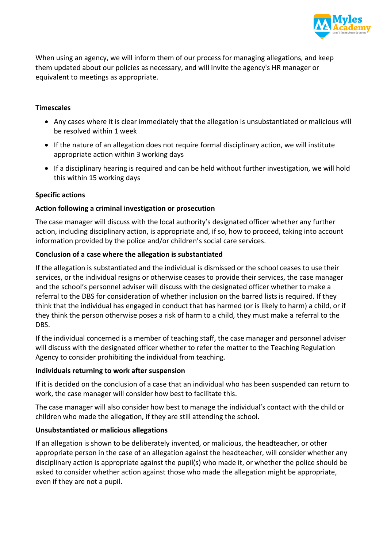

When using an agency, we will inform them of our process for managing allegations, and keep them updated about our policies as necessary, and will invite the agency's HR manager or equivalent to meetings as appropriate.

#### **Timescales**

- Any cases where it is clear immediately that the allegation is unsubstantiated or malicious will be resolved within 1 week
- If the nature of an allegation does not require formal disciplinary action, we will institute appropriate action within 3 working days
- If a disciplinary hearing is required and can be held without further investigation, we will hold this within 15 working days

#### **Specific actions**

#### **Action following a criminal investigation or prosecution**

The case manager will discuss with the local authority's designated officer whether any further action, including disciplinary action, is appropriate and, if so, how to proceed, taking into account information provided by the police and/or children's social care services.

#### **Conclusion of a case where the allegation is substantiated**

If the allegation is substantiated and the individual is dismissed or the school ceases to use their services, or the individual resigns or otherwise ceases to provide their services, the case manager and the school's personnel adviser will discuss with the designated officer whether to make a referral to the DBS for consideration of whether inclusion on the barred lists is required. If they think that the individual has engaged in conduct that has harmed (or is likely to harm) a child, or if they think the person otherwise poses a risk of harm to a child, they must make a referral to the DBS.

If the individual concerned is a member of teaching staff, the case manager and personnel adviser will discuss with the designated officer whether to refer the matter to the Teaching Regulation Agency to consider prohibiting the individual from teaching.

#### **Individuals returning to work after suspension**

If it is decided on the conclusion of a case that an individual who has been suspended can return to work, the case manager will consider how best to facilitate this.

The case manager will also consider how best to manage the individual's contact with the child or children who made the allegation, if they are still attending the school.

#### **Unsubstantiated or malicious allegations**

If an allegation is shown to be deliberately invented, or malicious, the headteacher, or other appropriate person in the case of an allegation against the headteacher, will consider whether any disciplinary action is appropriate against the pupil(s) who made it, or whether the police should be asked to consider whether action against those who made the allegation might be appropriate, even if they are not a pupil.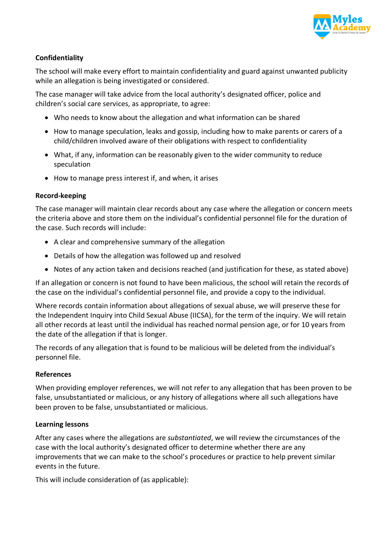

#### **Confidentiality**

The school will make every effort to maintain confidentiality and guard against unwanted publicity while an allegation is being investigated or considered.

The case manager will take advice from the local authority's designated officer, police and children's social care services, as appropriate, to agree:

- Who needs to know about the allegation and what information can be shared
- How to manage speculation, leaks and gossip, including how to make parents or carers of a child/children involved aware of their obligations with respect to confidentiality
- What, if any, information can be reasonably given to the wider community to reduce speculation
- How to manage press interest if, and when, it arises

#### **Record-keeping**

The case manager will maintain clear records about any case where the allegation or concern meets the criteria above and store them on the individual's confidential personnel file for the duration of the case. Such records will include:

- A clear and comprehensive summary of the allegation
- Details of how the allegation was followed up and resolved
- Notes of any action taken and decisions reached (and justification for these, as stated above)

If an allegation or concern is not found to have been malicious, the school will retain the records of the case on the individual's confidential personnel file, and provide a copy to the individual.

Where records contain information about allegations of sexual abuse, we will preserve these for the Independent Inquiry into Child Sexual Abuse (IICSA), for the term of the inquiry. We will retain all other records at least until the individual has reached normal pension age, or for 10 years from the date of the allegation if that is longer.

The records of any allegation that is found to be malicious will be deleted from the individual's personnel file.

#### **References**

When providing employer references, we will not refer to any allegation that has been proven to be false, unsubstantiated or malicious, or any history of allegations where all such allegations have been proven to be false, unsubstantiated or malicious.

#### **Learning lessons**

After any cases where the allegations are *substantiated*, we will review the circumstances of the case with the local authority's designated officer to determine whether there are any improvements that we can make to the school's procedures or practice to help prevent similar events in the future.

This will include consideration of (as applicable):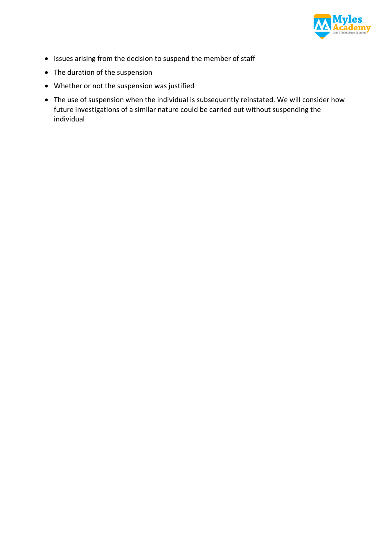

- Issues arising from the decision to suspend the member of staff
- The duration of the suspension
- Whether or not the suspension was justified
- The use of suspension when the individual is subsequently reinstated. We will consider how future investigations of a similar nature could be carried out without suspending the individual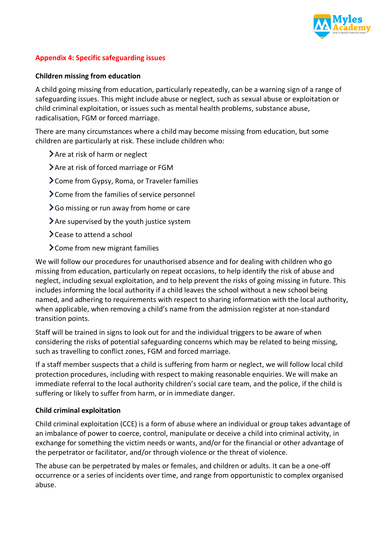

#### **Appendix 4: Specific safeguarding issues**

#### **Children missing from education**

A child going missing from education, particularly repeatedly, can be a warning sign of a range of safeguarding issues. This might include abuse or neglect, such as sexual abuse or exploitation or child criminal exploitation, or issues such as mental health problems, substance abuse, radicalisation, FGM or forced marriage.

There are many circumstances where a child may become missing from education, but some children are particularly at risk. These include children who:

Are at risk of harm or neglect

Are at risk of forced marriage or FGM

Come from Gypsy, Roma, or Traveler families

Come from the families of service personnel

**>** Go missing or run away from home or care

 $\sum$  Are supervised by the youth justice system

 $\sum$  Cease to attend a school

Come from new migrant families

We will follow our procedures for unauthorised absence and for dealing with children who go missing from education, particularly on repeat occasions, to help identify the risk of abuse and neglect, including sexual exploitation, and to help prevent the risks of going missing in future. This includes informing the local authority if a child leaves the school without a new school being named, and adhering to requirements with respect to sharing information with the local authority, when applicable, when removing a child's name from the admission register at non-standard transition points.

Staff will be trained in signs to look out for and the individual triggers to be aware of when considering the risks of potential safeguarding concerns which may be related to being missing, such as travelling to conflict zones, FGM and forced marriage.

If a staff member suspects that a child is suffering from harm or neglect, we will follow local child protection procedures, including with respect to making reasonable enquiries. We will make an immediate referral to the local authority children's social care team, and the police, if the child is suffering or likely to suffer from harm, or in immediate danger.

#### **Child criminal exploitation**

Child criminal exploitation (CCE) is a form of abuse where an individual or group takes advantage of an imbalance of power to coerce, control, manipulate or deceive a child into criminal activity, in exchange for something the victim needs or wants, and/or for the financial or other advantage of the perpetrator or facilitator, and/or through violence or the threat of violence.

The abuse can be perpetrated by males or females, and children or adults. It can be a one-off occurrence or a series of incidents over time, and range from opportunistic to complex organised abuse.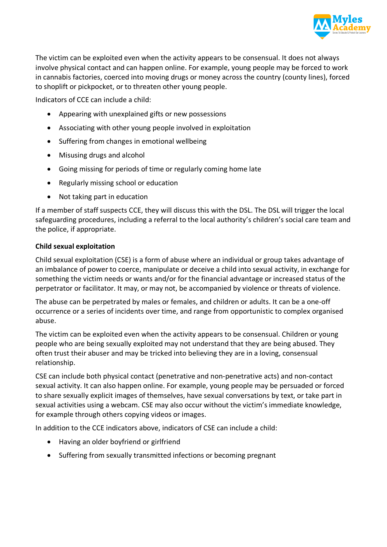

The victim can be exploited even when the activity appears to be consensual. It does not always involve physical contact and can happen online. For example, young people may be forced to work in cannabis factories, coerced into moving drugs or money across the country (county lines), forced to shoplift or pickpocket, or to threaten other young people.

Indicators of CCE can include a child:

- Appearing with unexplained gifts or new possessions
- Associating with other young people involved in exploitation
- Suffering from changes in emotional wellbeing
- Misusing drugs and alcohol
- Going missing for periods of time or regularly coming home late
- Regularly missing school or education
- Not taking part in education

If a member of staff suspects CCE, they will discuss this with the DSL. The DSL will trigger the local safeguarding procedures, including a referral to the local authority's children's social care team and the police, if appropriate.

#### **Child sexual exploitation**

Child sexual exploitation (CSE) is a form of abuse where an individual or group takes advantage of an imbalance of power to coerce, manipulate or deceive a child into sexual activity, in exchange for something the victim needs or wants and/or for the financial advantage or increased status of the perpetrator or facilitator. It may, or may not, be accompanied by violence or threats of violence.

The abuse can be perpetrated by males or females, and children or adults. It can be a one-off occurrence or a series of incidents over time, and range from opportunistic to complex organised abuse.

The victim can be exploited even when the activity appears to be consensual. Children or young people who are being sexually exploited may not understand that they are being abused. They often trust their abuser and may be tricked into believing they are in a loving, consensual relationship.

CSE can include both physical contact (penetrative and non-penetrative acts) and non-contact sexual activity. It can also happen online. For example, young people may be persuaded or forced to share sexually explicit images of themselves, have sexual conversations by text, or take part in sexual activities using a webcam. CSE may also occur without the victim's immediate knowledge, for example through others copying videos or images.

In addition to the CCE indicators above, indicators of CSE can include a child:

- Having an older boyfriend or girlfriend
- Suffering from sexually transmitted infections or becoming pregnant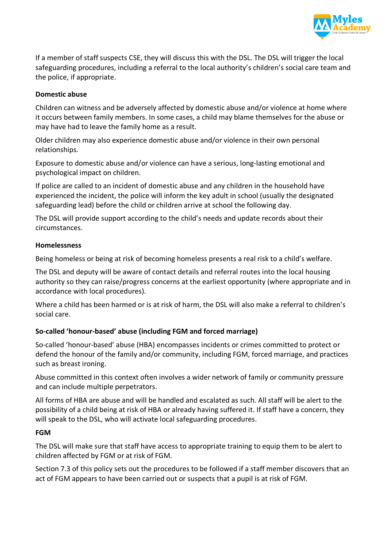

If a member of staff suspects CSE, they will discuss this with the DSL. The DSL will trigger the local safeguarding procedures, including a referral to the local authority's children's social care team and the police, if appropriate.

#### **Domestic abuse**

Children can witness and be adversely affected by domestic abuse and/or violence at home where it occurs between family members. In some cases, a child may blame themselves for the abuse or may have had to leave the family home as a result.

Older children may also experience domestic abuse and/or violence in their own personal relationships.

Exposure to domestic abuse and/or violence can have a serious, long-lasting emotional and psychological impact on children.

If police are called to an incident of domestic abuse and any children in the household have experienced the incident, the police will inform the key adult in school (usually the designated safeguarding lead) before the child or children arrive at school the following day.

The DSL will provide support according to the child's needs and update records about their circumstances.

#### **Homelessness**

Being homeless or being at risk of becoming homeless presents a real risk to a child's welfare.

The DSL and deputy will be aware of contact details and referral routes into the local housing authority so they can raise/progress concerns at the earliest opportunity (where appropriate and in accordance with local procedures).

Where a child has been harmed or is at risk of harm, the DSL will also make a referral to children's social care.

#### **So-called 'honour-based' abuse (including FGM and forced marriage)**

So-called 'honour-based' abuse (HBA) encompasses incidents or crimes committed to protect or defend the honour of the family and/or community, including FGM, forced marriage, and practices such as breast ironing.

Abuse committed in this context often involves a wider network of family or community pressure and can include multiple perpetrators.

All forms of HBA are abuse and will be handled and escalated as such. All staff will be alert to the possibility of a child being at risk of HBA or already having suffered it. If staff have a concern, they will speak to the DSL, who will activate local safeguarding procedures.

#### **FGM**

The DSL will make sure that staff have access to appropriate training to equip them to be alert to children affected by FGM or at risk of FGM.

Section 7.3 of this policy sets out the procedures to be followed if a staff member discovers that an act of FGM appears to have been carried out or suspects that a pupil is at risk of FGM.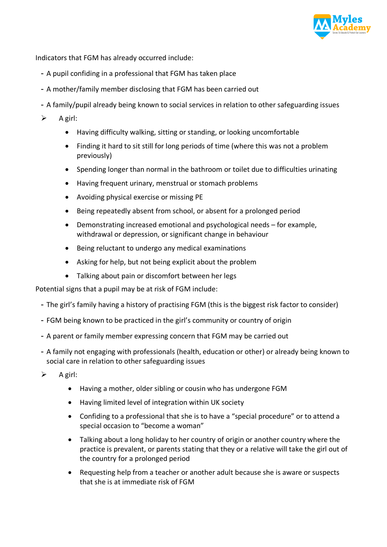

Indicators that FGM has already occurred include:

- A pupil confiding in a professional that FGM has taken place
- A mother/family member disclosing that FGM has been carried out
- A family/pupil already being known to social services in relation to other safeguarding issues
- $\triangleright$  A girl:
	- Having difficulty walking, sitting or standing, or looking uncomfortable
	- Finding it hard to sit still for long periods of time (where this was not a problem previously)
	- Spending longer than normal in the bathroom or toilet due to difficulties urinating
	- Having frequent urinary, menstrual or stomach problems
	- Avoiding physical exercise or missing PE
	- Being repeatedly absent from school, or absent for a prolonged period
	- Demonstrating increased emotional and psychological needs for example, withdrawal or depression, or significant change in behaviour
	- Being reluctant to undergo any medical examinations
	- Asking for help, but not being explicit about the problem
	- Talking about pain or discomfort between her legs

Potential signs that a pupil may be at risk of FGM include:

- The girl's family having a history of practising FGM (this is the biggest risk factor to consider)
- FGM being known to be practiced in the girl's community or country of origin
- A parent or family member expressing concern that FGM may be carried out
- A family not engaging with professionals (health, education or other) or already being known to social care in relation to other safeguarding issues
- $\triangleright$  A girl:
	- Having a mother, older sibling or cousin who has undergone FGM
	- Having limited level of integration within UK society
	- Confiding to a professional that she is to have a "special procedure" or to attend a special occasion to "become a woman"
	- Talking about a long holiday to her country of origin or another country where the practice is prevalent, or parents stating that they or a relative will take the girl out of the country for a prolonged period
	- Requesting help from a teacher or another adult because she is aware or suspects that she is at immediate risk of FGM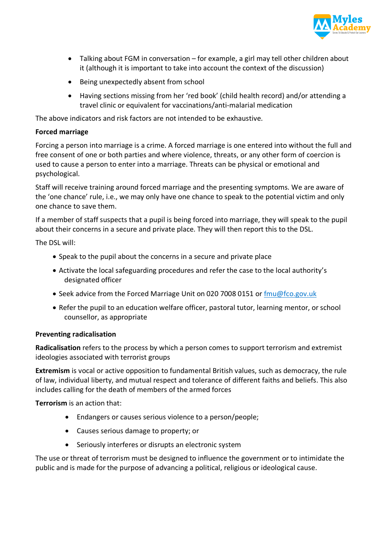

- Talking about FGM in conversation for example, a girl may tell other children about it (although it is important to take into account the context of the discussion)
- Being unexpectedly absent from school
- Having sections missing from her 'red book' (child health record) and/or attending a travel clinic or equivalent for vaccinations/anti-malarial medication

The above indicators and risk factors are not intended to be exhaustive.

#### **Forced marriage**

Forcing a person into marriage is a crime. A forced marriage is one entered into without the full and free consent of one or both parties and where violence, threats, or any other form of coercion is used to cause a person to enter into a marriage. Threats can be physical or emotional and psychological.

Staff will receive training around forced marriage and the presenting symptoms. We are aware of the 'one chance' rule, i.e., we may only have one chance to speak to the potential victim and only one chance to save them.

If a member of staff suspects that a pupil is being forced into marriage, they will speak to the pupil about their concerns in a secure and private place. They will then report this to the DSL.

The DSL will:

- Speak to the pupil about the concerns in a secure and private place
- Activate the local safeguarding procedures and refer the case to the local authority's designated officer
- Seek advice from the Forced Marriage Unit on 020 7008 0151 or fmu@fco.gov.uk
- Refer the pupil to an education welfare officer, pastoral tutor, learning mentor, or school counsellor, as appropriate

#### **Preventing radicalisation**

**Radicalisation** refers to the process by which a person comes to support terrorism and extremist ideologies associated with terrorist groups

**Extremism** is vocal or active opposition to fundamental British values, such as democracy, the rule of law, individual liberty, and mutual respect and tolerance of different faiths and beliefs. This also includes calling for the death of members of the armed forces

**Terrorism** is an action that:

- Endangers or causes serious violence to a person/people;
- Causes serious damage to property; or
- Seriously interferes or disrupts an electronic system

The use or threat of terrorism must be designed to influence the government or to intimidate the public and is made for the purpose of advancing a political, religious or ideological cause.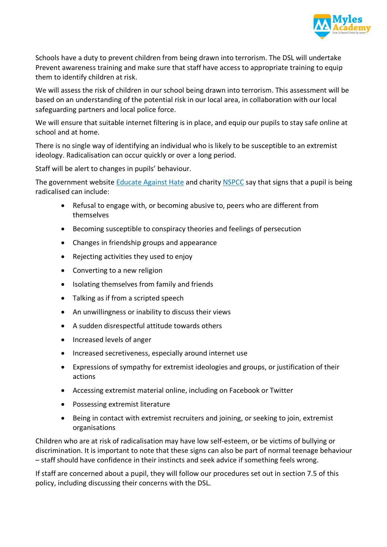

Schools have a duty to prevent children from being drawn into terrorism. The DSL will undertake Prevent awareness training and make sure that staff have access to appropriate training to equip them to identify children at risk.

We will assess the risk of children in our school being drawn into terrorism. This assessment will be based on an understanding of the potential risk in our local area, in collaboration with our local safeguarding partners and local police force.

We will ensure that suitable internet filtering is in place, and equip our pupils to stay safe online at school and at home.

There is no single way of identifying an individual who is likely to be susceptible to an extremist ideology. Radicalisation can occur quickly or over a long period.

Staff will be alert to changes in pupils' behaviour.

The government website Educate Against Hate and charity NSPCC say that signs that a pupil is being radicalised can include:

- Refusal to engage with, or becoming abusive to, peers who are different from themselves
- Becoming susceptible to conspiracy theories and feelings of persecution
- Changes in friendship groups and appearance
- Rejecting activities they used to enjoy
- Converting to a new religion
- Isolating themselves from family and friends
- Talking as if from a scripted speech
- An unwillingness or inability to discuss their views
- A sudden disrespectful attitude towards others
- Increased levels of anger
- Increased secretiveness, especially around internet use
- Expressions of sympathy for extremist ideologies and groups, or justification of their actions
- Accessing extremist material online, including on Facebook or Twitter
- Possessing extremist literature
- Being in contact with extremist recruiters and joining, or seeking to join, extremist organisations

Children who are at risk of radicalisation may have low self-esteem, or be victims of bullying or discrimination. It is important to note that these signs can also be part of normal teenage behaviour – staff should have confidence in their instincts and seek advice if something feels wrong.

If staff are concerned about a pupil, they will follow our procedures set out in section 7.5 of this policy, including discussing their concerns with the DSL.